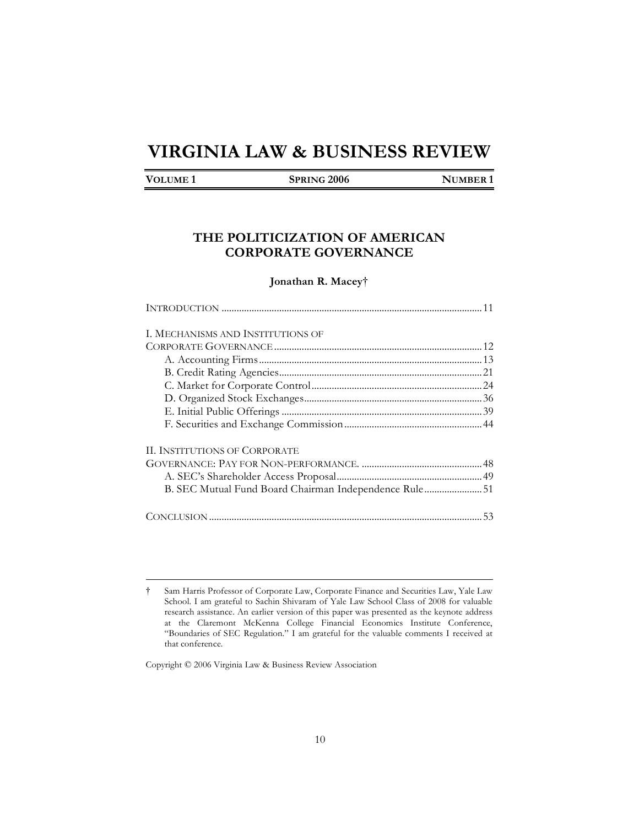# **VIRGINIA LAW & BUSINESS REVIEW**

**VOLUME 1 SPRING 2006 NUMBER 1**

# **THE POLITICIZATION OF AMERICAN CORPORATE GOVERNANCE**

## **Jonathan R. Macey**†

| I. MECHANISMS AND INSTITUTIONS OF                     |  |
|-------------------------------------------------------|--|
|                                                       |  |
|                                                       |  |
|                                                       |  |
|                                                       |  |
|                                                       |  |
|                                                       |  |
|                                                       |  |
| <b>II. INSTITUTIONS OF CORPORATE</b>                  |  |
|                                                       |  |
|                                                       |  |
| B. SEC Mutual Fund Board Chairman Independence Rule51 |  |
|                                                       |  |

Copyright © 2006 Virginia Law & Business Review Association

 <sup>†</sup> Sam Harris Professor of Corporate Law, Corporate Finance and Securities Law, Yale Law School. I am grateful to Sachin Shivaram of Yale Law School Class of 2008 for valuable research assistance. An earlier version of this paper was presented as the keynote address at the Claremont McKenna College Financial Economics Institute Conference, "Boundaries of SEC Regulation." I am grateful for the valuable comments I received at that conference.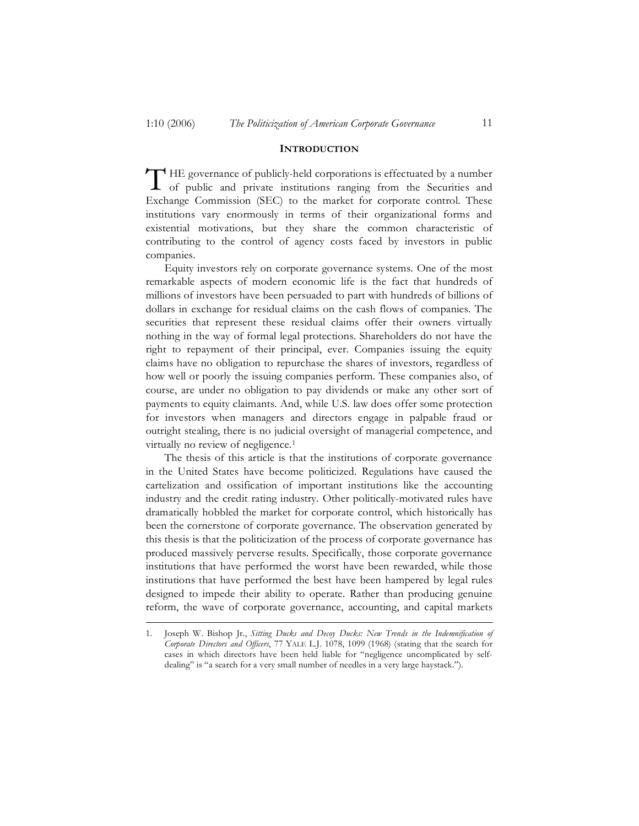$\overline{a}$ 

#### **INTRODUCTION**

THE governance of publicly-held corporations is effectuated by a number<br>of public and private institutions ranging from the Securities and of public and private institutions ranging from the Securities and Exchange Commission (SEC) to the market for corporate control. These institutions vary enormously in terms of their organizational forms and existential motivations, but they share the common characteristic of contributing to the control of agency costs faced by investors in public companies.

Equity investors rely on corporate governance systems. One of the most remarkable aspects of modern economic life is the fact that hundreds of millions of investors have been persuaded to part with hundreds of billions of dollars in exchange for residual claims on the cash flows of companies. The securities that represent these residual claims offer their owners virtually nothing in the way of formal legal protections. Shareholders do not have the right to repayment of their principal, ever. Companies issuing the equity claims have no obligation to repurchase the shares of investors, regardless of how well or poorly the issuing companies perform. These companies also, of course, are under no obligation to pay dividends or make any other sort of payments to equity claimants. And, while U.S. law does offer some protection for investors when managers and directors engage in palpable fraud or outright stealing, there is no judicial oversight of managerial competence, and virtually no review of negligence.<sup>1</sup>

The thesis of this article is that the institutions of corporate governance in the United States have become politicized. Regulations have caused the cartelization and ossification of important institutions like the accounting industry and the credit rating industry. Other politically-motivated rules have dramatically hobbled the market for corporate control, which historically has been the cornerstone of corporate governance. The observation generated by this thesis is that the politicization of the process of corporate governance has produced massively perverse results. Specifically, those corporate governance institutions that have performed the worst have been rewarded, while those institutions that have performed the best have been hampered by legal rules designed to impede their ability to operate. Rather than producing genuine reform, the wave of corporate governance, accounting, and capital markets

<sup>1.</sup> Joseph W. Bishop Jr., *Sitting Ducks and Decoy Ducks: New Trends in the Indemnification of Corporate Directors and Officers*, 77 YALE L.J. 1078, 1099 (1968) (stating that the search for cases in which directors have been held liable for "negligence uncomplicated by selfdealing" is "a search for a very small number of needles in a very large haystack.").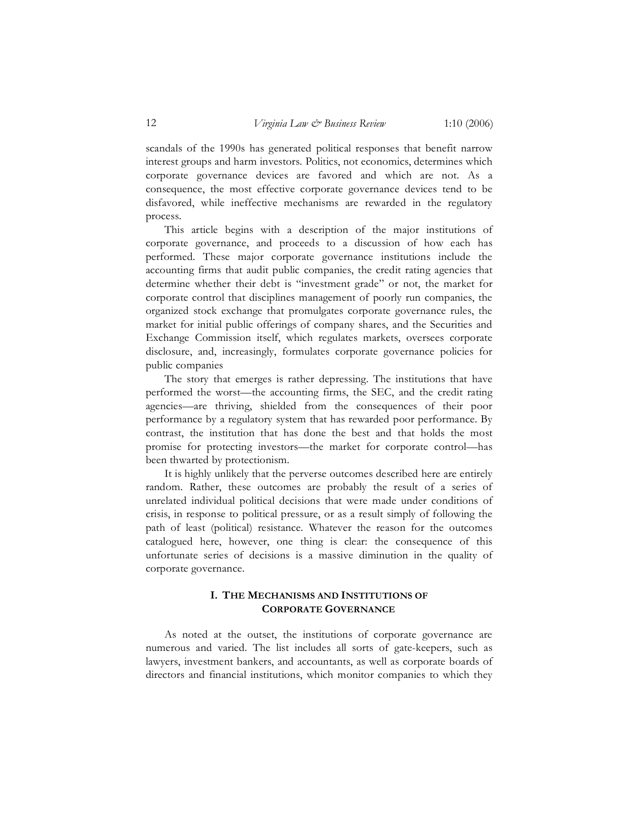scandals of the 1990s has generated political responses that benefit narrow interest groups and harm investors. Politics, not economics, determines which corporate governance devices are favored and which are not. As a consequence, the most effective corporate governance devices tend to be disfavored, while ineffective mechanisms are rewarded in the regulatory process.

This article begins with a description of the major institutions of corporate governance, and proceeds to a discussion of how each has performed. These major corporate governance institutions include the accounting firms that audit public companies, the credit rating agencies that determine whether their debt is "investment grade" or not, the market for corporate control that disciplines management of poorly run companies, the organized stock exchange that promulgates corporate governance rules, the market for initial public offerings of company shares, and the Securities and Exchange Commission itself, which regulates markets, oversees corporate disclosure, and, increasingly, formulates corporate governance policies for public companies

The story that emerges is rather depressing. The institutions that have performed the worst—the accounting firms, the SEC, and the credit rating agencies—are thriving, shielded from the consequences of their poor performance by a regulatory system that has rewarded poor performance. By contrast, the institution that has done the best and that holds the most promise for protecting investors—the market for corporate control—has been thwarted by protectionism.

It is highly unlikely that the perverse outcomes described here are entirely random. Rather, these outcomes are probably the result of a series of unrelated individual political decisions that were made under conditions of crisis, in response to political pressure, or as a result simply of following the path of least (political) resistance. Whatever the reason for the outcomes catalogued here, however, one thing is clear: the consequence of this unfortunate series of decisions is a massive diminution in the quality of corporate governance.

### **I. THE MECHANISMS AND INSTITUTIONS OF CORPORATE GOVERNANCE**

As noted at the outset, the institutions of corporate governance are numerous and varied. The list includes all sorts of gate-keepers, such as lawyers, investment bankers, and accountants, as well as corporate boards of directors and financial institutions, which monitor companies to which they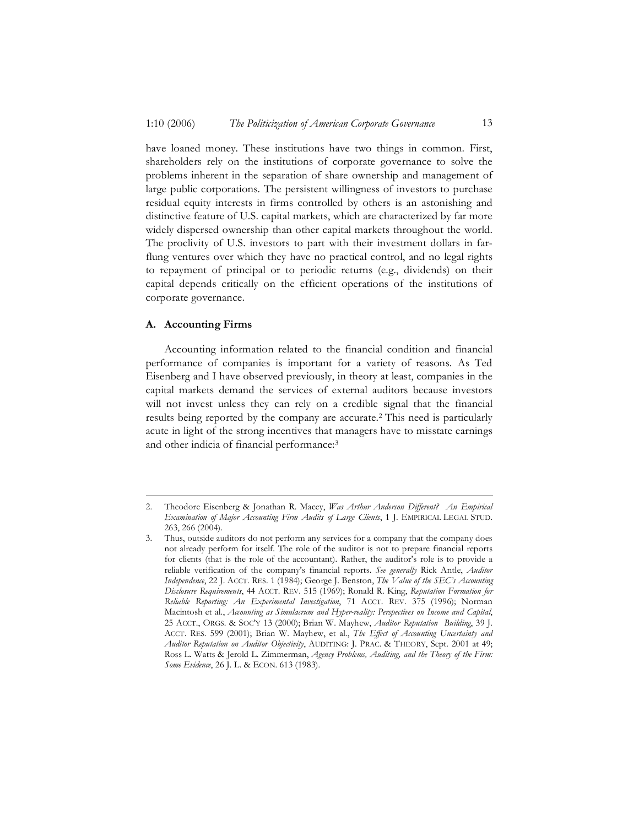have loaned money. These institutions have two things in common. First, shareholders rely on the institutions of corporate governance to solve the problems inherent in the separation of share ownership and management of large public corporations. The persistent willingness of investors to purchase residual equity interests in firms controlled by others is an astonishing and distinctive feature of U.S. capital markets, which are characterized by far more widely dispersed ownership than other capital markets throughout the world. The proclivity of U.S. investors to part with their investment dollars in farflung ventures over which they have no practical control, and no legal rights to repayment of principal or to periodic returns (e.g., dividends) on their capital depends critically on the efficient operations of the institutions of corporate governance.

#### **A. Accounting Firms**

 $\overline{a}$ 

Accounting information related to the financial condition and financial performance of companies is important for a variety of reasons. As Ted Eisenberg and I have observed previously, in theory at least, companies in the capital markets demand the services of external auditors because investors will not invest unless they can rely on a credible signal that the financial results being reported by the company are accurate.2 This need is particularly acute in light of the strong incentives that managers have to misstate earnings and other indicia of financial performance:3

<sup>2.</sup> Theodore Eisenberg & Jonathan R. Macey, *Was Arthur Anderson Different? An Empirical Examination of Major Accounting Firm Audits of Large Clients*, 1 J. EMPIRICAL LEGAL STUD. 263, 266 (2004).

<sup>3.</sup> Thus, outside auditors do not perform any services for a company that the company does not already perform for itself. The role of the auditor is not to prepare financial reports for clients (that is the role of the accountant). Rather, the auditor's role is to provide a reliable verification of the company's financial reports. *See generally* Rick Antle, *Auditor Independence*, 22 J. ACCT. RES. 1 (1984); George J. Benston, *The Value of the SEC's Accounting Disclosure Requirements*, 44 ACCT. REV. 515 (1969); Ronald R. King, *Reputation Formation for Reliable Reporting: An Experimental Investigation*, 71 ACCT. REV. 375 (1996); Norman Macintosh et al., *Accounting as Simulacrum and Hyper-reality: Perspectives on Income and Capital*, 25 ACCT., ORGS. & SOC'Y 13 (2000); Brian W. Mayhew, *Auditor Reputation Building*, 39 J. ACCT. RES. 599 (2001); Brian W. Mayhew, et al., *The Effect of Accounting Uncertainty and Auditor Reputation on Auditor Objectivity*, AUDITING: J. PRAC. & THEORY, Sept. 2001 at 49; Ross L. Watts & Jerold L. Zimmerman, *Agency Problems, Auditing, and the Theory of the Firm: Some Evidence*, 26 J. L. & ECON. 613 (1983).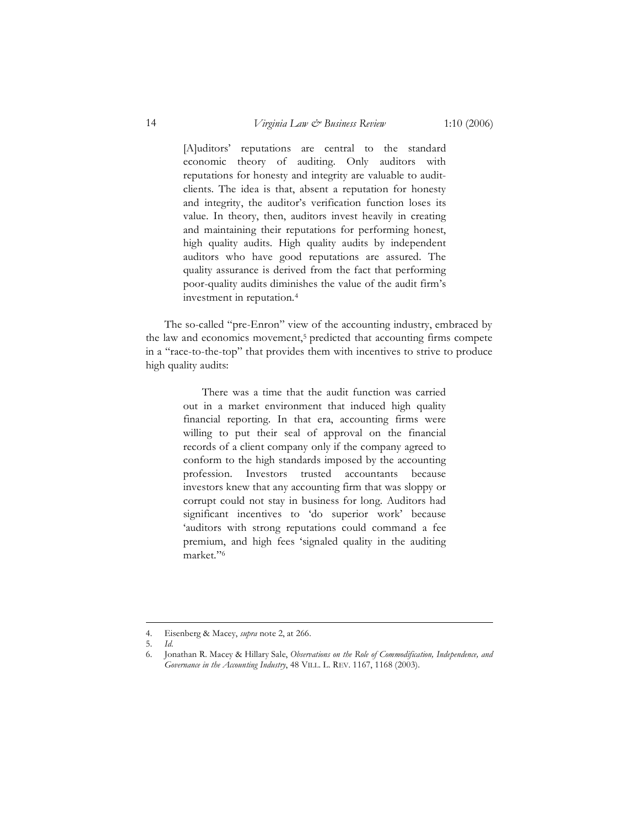[A]uditors' reputations are central to the standard economic theory of auditing. Only auditors with reputations for honesty and integrity are valuable to auditclients. The idea is that, absent a reputation for honesty and integrity, the auditor's verification function loses its value. In theory, then, auditors invest heavily in creating and maintaining their reputations for performing honest, high quality audits. High quality audits by independent auditors who have good reputations are assured. The quality assurance is derived from the fact that performing poor-quality audits diminishes the value of the audit firm's investment in reputation.4

The so-called "pre-Enron" view of the accounting industry, embraced by the law and economics movement,<sup>5</sup> predicted that accounting firms compete in a "race-to-the-top" that provides them with incentives to strive to produce high quality audits:

> There was a time that the audit function was carried out in a market environment that induced high quality financial reporting. In that era, accounting firms were willing to put their seal of approval on the financial records of a client company only if the company agreed to conform to the high standards imposed by the accounting profession. Investors trusted accountants because investors knew that any accounting firm that was sloppy or corrupt could not stay in business for long. Auditors had significant incentives to 'do superior work' because 'auditors with strong reputations could command a fee premium, and high fees 'signaled quality in the auditing market."6

<sup>4.</sup> Eisenberg & Macey, *supra* note 2, at 266.

<sup>5.</sup> *Id*.

<sup>6.</sup> Jonathan R. Macey & Hillary Sale, *Observations on the Role of Commodification, Independence, and Governance in the Accounting Industry*, 48 VILL. L. REV. 1167, 1168 (2003).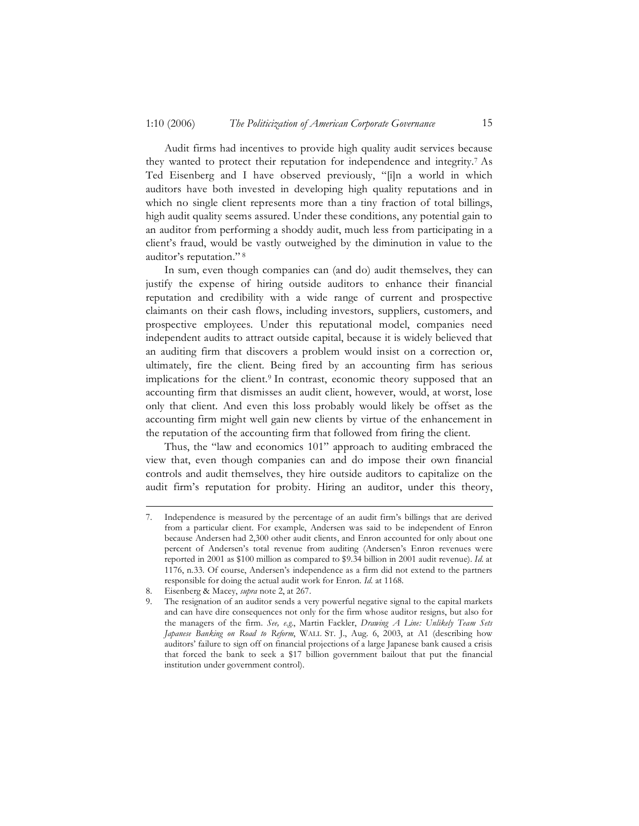Audit firms had incentives to provide high quality audit services because they wanted to protect their reputation for independence and integrity.7 As Ted Eisenberg and I have observed previously, "[i]n a world in which auditors have both invested in developing high quality reputations and in which no single client represents more than a tiny fraction of total billings, high audit quality seems assured. Under these conditions, any potential gain to an auditor from performing a shoddy audit, much less from participating in a client's fraud, would be vastly outweighed by the diminution in value to the auditor's reputation." <sup>8</sup>

In sum, even though companies can (and do) audit themselves, they can justify the expense of hiring outside auditors to enhance their financial reputation and credibility with a wide range of current and prospective claimants on their cash flows, including investors, suppliers, customers, and prospective employees. Under this reputational model, companies need independent audits to attract outside capital, because it is widely believed that an auditing firm that discovers a problem would insist on a correction or, ultimately, fire the client. Being fired by an accounting firm has serious implications for the client.9 In contrast, economic theory supposed that an accounting firm that dismisses an audit client, however, would, at worst, lose only that client. And even this loss probably would likely be offset as the accounting firm might well gain new clients by virtue of the enhancement in the reputation of the accounting firm that followed from firing the client.

Thus, the "law and economics 101" approach to auditing embraced the view that, even though companies can and do impose their own financial controls and audit themselves, they hire outside auditors to capitalize on the audit firm's reputation for probity. Hiring an auditor, under this theory,

<sup>7.</sup> Independence is measured by the percentage of an audit firm's billings that are derived from a particular client. For example, Andersen was said to be independent of Enron because Andersen had 2,300 other audit clients, and Enron accounted for only about one percent of Andersen's total revenue from auditing (Andersen's Enron revenues were reported in 2001 as \$100 million as compared to \$9.34 billion in 2001 audit revenue). *Id*. at 1176, n.33. Of course, Andersen's independence as a firm did not extend to the partners responsible for doing the actual audit work for Enron. *Id*. at 1168.

<sup>8.</sup> Eisenberg & Macey, *supra* note 2, at 267.

<sup>9.</sup> The resignation of an auditor sends a very powerful negative signal to the capital markets and can have dire consequences not only for the firm whose auditor resigns, but also for the managers of the firm. *See, e.g.*, Martin Fackler, *Drawing A Line: Unlikely Team Sets Japanese Banking on Road to Reform*, WALL ST. J., Aug. 6, 2003, at A1 (describing how auditors' failure to sign off on financial projections of a large Japanese bank caused a crisis that forced the bank to seek a \$17 billion government bailout that put the financial institution under government control).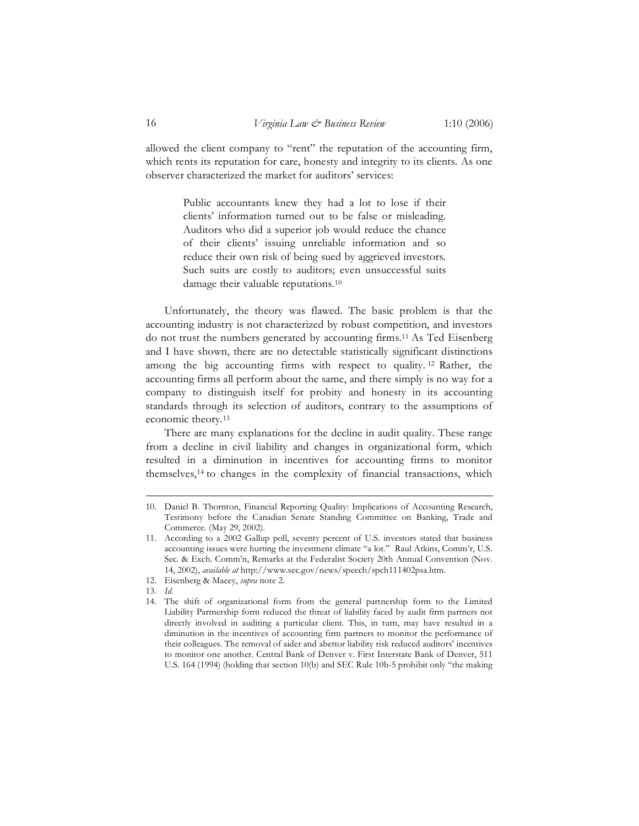allowed the client company to "rent" the reputation of the accounting firm, which rents its reputation for care, honesty and integrity to its clients. As one observer characterized the market for auditors' services:

> Public accountants knew they had a lot to lose if their clients' information turned out to be false or misleading. Auditors who did a superior job would reduce the chance of their clients' issuing unreliable information and so reduce their own risk of being sued by aggrieved investors. Such suits are costly to auditors; even unsuccessful suits damage their valuable reputations.10

Unfortunately, the theory was flawed. The basic problem is that the accounting industry is not characterized by robust competition, and investors do not trust the numbers generated by accounting firms.11 As Ted Eisenberg and I have shown, there are no detectable statistically significant distinctions among the big accounting firms with respect to quality. <sup>12</sup> Rather, the accounting firms all perform about the same, and there simply is no way for a company to distinguish itself for probity and honesty in its accounting standards through its selection of auditors, contrary to the assumptions of economic theory.13

There are many explanations for the decline in audit quality. These range from a decline in civil liability and changes in organizational form, which resulted in a diminution in incentives for accounting firms to monitor themselves,14 to changes in the complexity of financial transactions, which

13. *Id*.

<sup>10.</sup> Daniel B. Thornton, Financial Reporting Quality: Implications of Accounting Research, Testimony before the Canadian Senate Standing Committee on Banking, Trade and Commerce. (May 29, 2002).

<sup>11.</sup> According to a 2002 Gallup poll, seventy percent of U.S. investors stated that business accounting issues were hurting the investment climate "a lot." Raul Atkins, Comm'r, U.S. Sec. & Exch. Comm'n, Remarks at the Federalist Society 20th Annual Convention (Nov. 14, 2002), *available at* http://www.sec.gov/news/speech/spch111402psa.htm.

<sup>12.</sup> Eisenberg & Macey, *supra* note 2.

<sup>14.</sup> The shift of organizational form from the general partnership form to the Limited Liability Partnership form reduced the threat of liability faced by audit firm partners not directly involved in auditing a particular client. This, in turn, may have resulted in a diminution in the incentives of accounting firm partners to monitor the performance of their colleagues. The removal of aider and abettor liability risk reduced auditors' incentives to monitor one another. Central Bank of Denver v. First Interstate Bank of Denver, 511 U.S. 164 (1994) (holding that section 10(b) and SEC Rule 10b-5 prohibit only "the making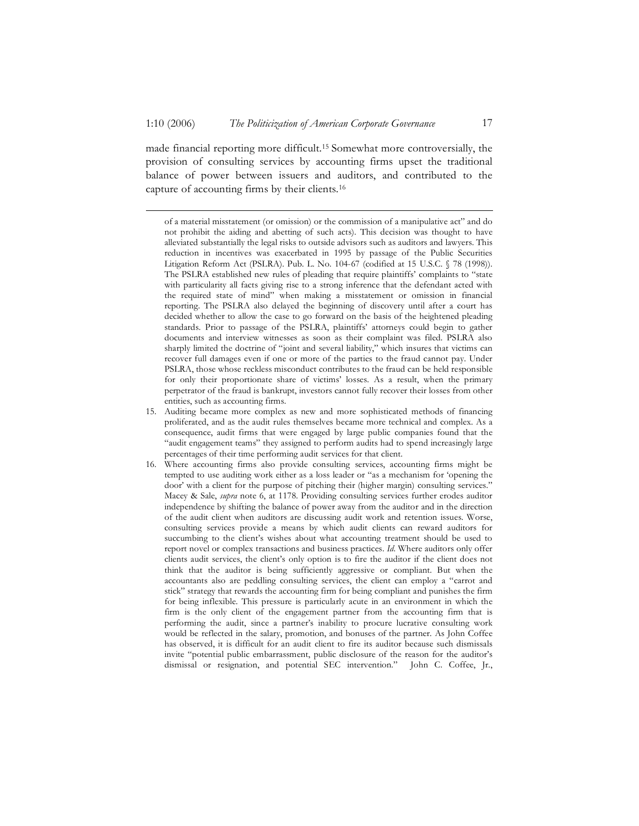$\overline{a}$ 

made financial reporting more difficult.15 Somewhat more controversially, the provision of consulting services by accounting firms upset the traditional balance of power between issuers and auditors, and contributed to the capture of accounting firms by their clients.16

of a material misstatement (or omission) or the commission of a manipulative act" and do not prohibit the aiding and abetting of such acts). This decision was thought to have alleviated substantially the legal risks to outside advisors such as auditors and lawyers. This reduction in incentives was exacerbated in 1995 by passage of the Public Securities Litigation Reform Act (PSLRA). Pub. L. No. 104-67 (codified at 15 U.S.C. § 78 (1998)). The PSLRA established new rules of pleading that require plaintiffs' complaints to "state with particularity all facts giving rise to a strong inference that the defendant acted with the required state of mind" when making a misstatement or omission in financial reporting. The PSLRA also delayed the beginning of discovery until after a court has decided whether to allow the case to go forward on the basis of the heightened pleading standards. Prior to passage of the PSLRA, plaintiffs' attorneys could begin to gather documents and interview witnesses as soon as their complaint was filed. PSLRA also sharply limited the doctrine of "joint and several liability," which insures that victims can recover full damages even if one or more of the parties to the fraud cannot pay. Under PSLRA, those whose reckless misconduct contributes to the fraud can be held responsible for only their proportionate share of victims' losses. As a result, when the primary perpetrator of the fraud is bankrupt, investors cannot fully recover their losses from other entities, such as accounting firms.

<sup>15.</sup> Auditing became more complex as new and more sophisticated methods of financing proliferated, and as the audit rules themselves became more technical and complex. As a consequence, audit firms that were engaged by large public companies found that the "audit engagement teams" they assigned to perform audits had to spend increasingly large percentages of their time performing audit services for that client.

<sup>16.</sup> Where accounting firms also provide consulting services, accounting firms might be tempted to use auditing work either as a loss leader or "as a mechanism for 'opening the door' with a client for the purpose of pitching their (higher margin) consulting services." Macey & Sale, *supra* note 6, at 1178. Providing consulting services further erodes auditor independence by shifting the balance of power away from the auditor and in the direction of the audit client when auditors are discussing audit work and retention issues. Worse, consulting services provide a means by which audit clients can reward auditors for succumbing to the client's wishes about what accounting treatment should be used to report novel or complex transactions and business practices. *Id*. Where auditors only offer clients audit services, the client's only option is to fire the auditor if the client does not think that the auditor is being sufficiently aggressive or compliant. But when the accountants also are peddling consulting services, the client can employ a "carrot and stick" strategy that rewards the accounting firm for being compliant and punishes the firm for being inflexible. This pressure is particularly acute in an environment in which the firm is the only client of the engagement partner from the accounting firm that is performing the audit, since a partner's inability to procure lucrative consulting work would be reflected in the salary, promotion, and bonuses of the partner. As John Coffee has observed, it is difficult for an audit client to fire its auditor because such dismissals invite "potential public embarrassment, public disclosure of the reason for the auditor's dismissal or resignation, and potential SEC intervention." John C. Coffee, Jr.,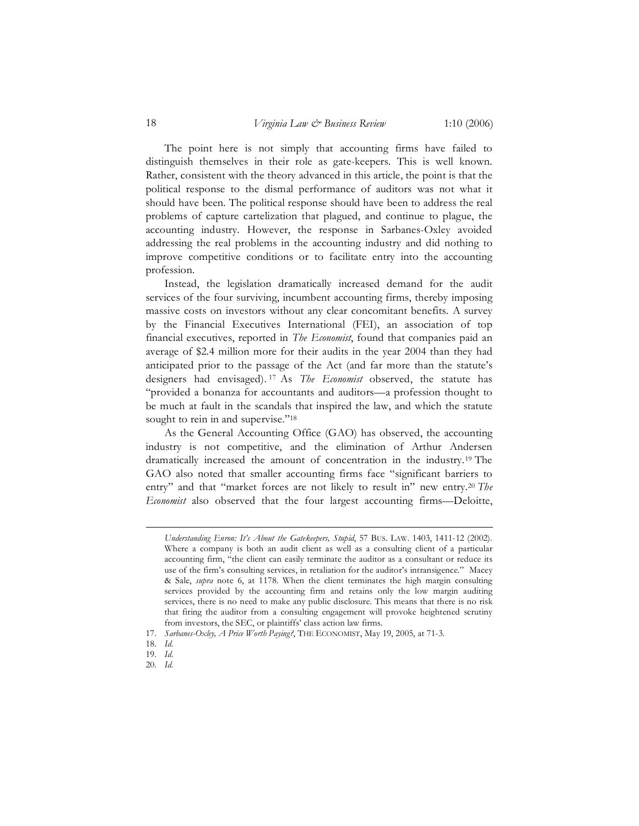The point here is not simply that accounting firms have failed to distinguish themselves in their role as gate-keepers. This is well known. Rather, consistent with the theory advanced in this article, the point is that the political response to the dismal performance of auditors was not what it should have been. The political response should have been to address the real problems of capture cartelization that plagued, and continue to plague, the accounting industry. However, the response in Sarbanes-Oxley avoided addressing the real problems in the accounting industry and did nothing to improve competitive conditions or to facilitate entry into the accounting profession.

Instead, the legislation dramatically increased demand for the audit services of the four surviving, incumbent accounting firms, thereby imposing massive costs on investors without any clear concomitant benefits. A survey by the Financial Executives International (FEI), an association of top financial executives, reported in *The Economist*, found that companies paid an average of \$2.4 million more for their audits in the year 2004 than they had anticipated prior to the passage of the Act (and far more than the statute's designers had envisaged). <sup>17</sup> As *The Economist* observed, the statute has "provided a bonanza for accountants and auditors—a profession thought to be much at fault in the scandals that inspired the law, and which the statute sought to rein in and supervise."<sup>18</sup>

As the General Accounting Office (GAO) has observed, the accounting industry is not competitive, and the elimination of Arthur Andersen dramatically increased the amount of concentration in the industry.19 The GAO also noted that smaller accounting firms face "significant barriers to entry" and that "market forces are not likely to result in" new entry.20 *The Economist* also observed that the four largest accounting firms—Deloitte,

*Understanding Enron: It's About the Gatekeepers, Stupid*, 57 BUS. LAW. 1403, 1411-12 (2002). Where a company is both an audit client as well as a consulting client of a particular accounting firm, "the client can easily terminate the auditor as a consultant or reduce its use of the firm's consulting services, in retaliation for the auditor's intransigence." Macey & Sale, *supra* note 6, at 1178. When the client terminates the high margin consulting services provided by the accounting firm and retains only the low margin auditing services, there is no need to make any public disclosure. This means that there is no risk that firing the auditor from a consulting engagement will provoke heightened scrutiny from investors, the SEC, or plaintiffs' class action law firms.

<sup>17.</sup> *Sarbanes-Oxley, A Price Worth Paying?*, THE ECONOMIST, May 19, 2005, at 71-3.

<sup>18.</sup> *Id*.

<sup>19.</sup> *Id*.

<sup>20.</sup> *Id*.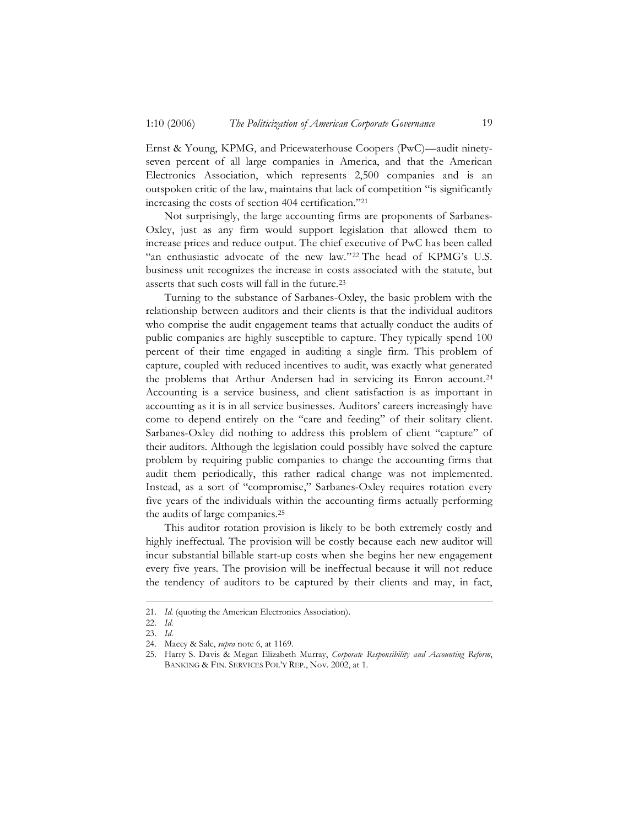Ernst & Young, KPMG, and Pricewaterhouse Coopers (PwC)—audit ninetyseven percent of all large companies in America, and that the American Electronics Association, which represents 2,500 companies and is an outspoken critic of the law, maintains that lack of competition "is significantly increasing the costs of section 404 certification."21

Not surprisingly, the large accounting firms are proponents of Sarbanes-Oxley, just as any firm would support legislation that allowed them to increase prices and reduce output. The chief executive of PwC has been called "an enthusiastic advocate of the new law."22 The head of KPMG's U.S. business unit recognizes the increase in costs associated with the statute, but asserts that such costs will fall in the future.23

Turning to the substance of Sarbanes-Oxley, the basic problem with the relationship between auditors and their clients is that the individual auditors who comprise the audit engagement teams that actually conduct the audits of public companies are highly susceptible to capture. They typically spend 100 percent of their time engaged in auditing a single firm. This problem of capture, coupled with reduced incentives to audit, was exactly what generated the problems that Arthur Andersen had in servicing its Enron account.<sup>24</sup> Accounting is a service business, and client satisfaction is as important in accounting as it is in all service businesses. Auditors' careers increasingly have come to depend entirely on the "care and feeding" of their solitary client. Sarbanes-Oxley did nothing to address this problem of client "capture" of their auditors. Although the legislation could possibly have solved the capture problem by requiring public companies to change the accounting firms that audit them periodically, this rather radical change was not implemented. Instead, as a sort of "compromise," Sarbanes-Oxley requires rotation every five years of the individuals within the accounting firms actually performing the audits of large companies.25

This auditor rotation provision is likely to be both extremely costly and highly ineffectual. The provision will be costly because each new auditor will incur substantial billable start-up costs when she begins her new engagement every five years. The provision will be ineffectual because it will not reduce the tendency of auditors to be captured by their clients and may, in fact,

<sup>21.</sup> *Id*. (quoting the American Electronics Association).

<sup>22.</sup> *Id*.

<sup>23.</sup> *Id*.

<sup>24.</sup> Macey & Sale, *supra* note 6, at 1169.

<sup>25.</sup> Harry S. Davis & Megan Elizabeth Murray, *Corporate Responsibility and Accounting Reform*, BANKING & FIN. SERVICES POL'Y REP., Nov. 2002, at 1.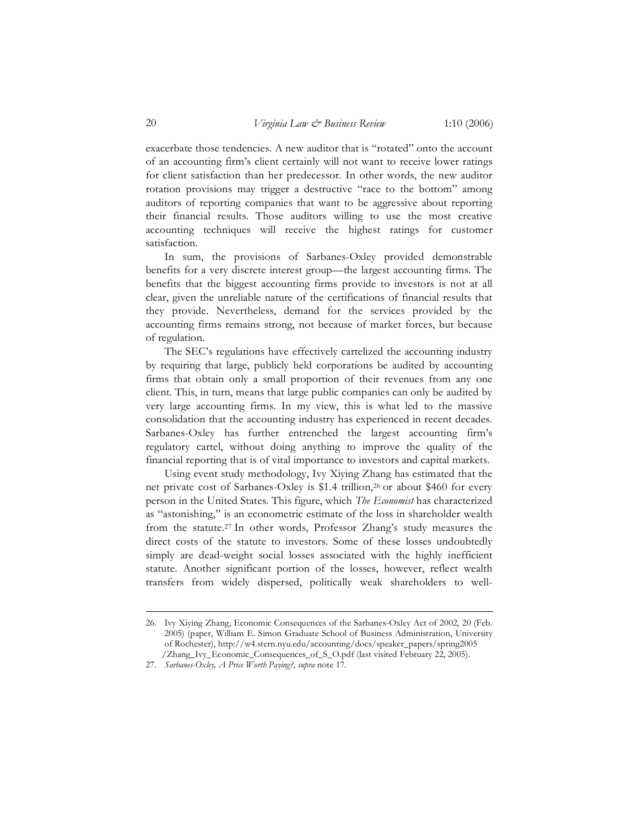exacerbate those tendencies. A new auditor that is "rotated" onto the account of an accounting firm's client certainly will not want to receive lower ratings for client satisfaction than her predecessor. In other words, the new auditor rotation provisions may trigger a destructive "race to the bottom" among auditors of reporting companies that want to be aggressive about reporting their financial results. Those auditors willing to use the most creative accounting techniques will receive the highest ratings for customer satisfaction.

In sum, the provisions of Sarbanes-Oxley provided demonstrable benefits for a very discrete interest group—the largest accounting firms. The benefits that the biggest accounting firms provide to investors is not at all clear, given the unreliable nature of the certifications of financial results that they provide. Nevertheless, demand for the services provided by the accounting firms remains strong, not because of market forces, but because of regulation.

The SEC's regulations have effectively cartelized the accounting industry by requiring that large, publicly held corporations be audited by accounting firms that obtain only a small proportion of their revenues from any one client. This, in turn, means that large public companies can only be audited by very large accounting firms. In my view, this is what led to the massive consolidation that the accounting industry has experienced in recent decades. Sarbanes-Oxley has further entrenched the largest accounting firm's regulatory cartel, without doing anything to improve the quality of the financial reporting that is of vital importance to investors and capital markets.

Using event study methodology, Ivy Xiying Zhang has estimated that the net private cost of Sarbanes-Oxley is \$1.4 trillion,26 or about \$460 for every person in the United States. This figure, which *The Economist* has characterized as "astonishing," is an econometric estimate of the loss in shareholder wealth from the statute.27 In other words, Professor Zhang's study measures the direct costs of the statute to investors. Some of these losses undoubtedly simply are dead-weight social losses associated with the highly inefficient statute. Another significant portion of the losses, however, reflect wealth transfers from widely dispersed, politically weak shareholders to well-

<sup>26.</sup> Ivy Xiying Zhang, Economic Consequences of the Sarbanes-Oxley Act of 2002, 20 (Feb. 2005) (paper, William E. Simon Graduate School of Business Administration, University of Rochester), http://w4.stern.nyu.edu/accounting/docs/speaker\_papers/spring2005 /Zhang\_Ivy\_Economic\_Consequences\_of\_S\_O.pdf (last visited February 22, 2005).

<sup>27.</sup> *Sarbanes-Oxley, A Price Worth Paying?*, *supra* note 17.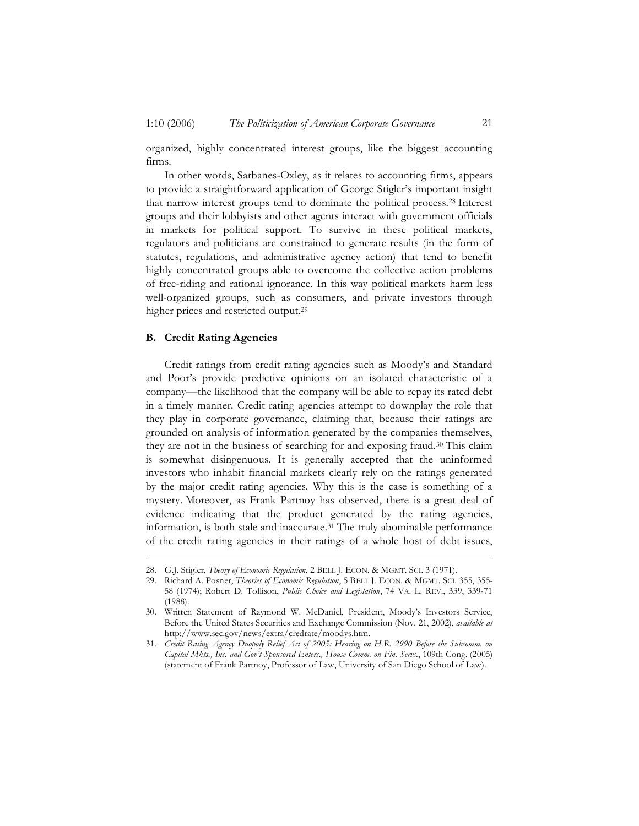organized, highly concentrated interest groups, like the biggest accounting firms.

In other words, Sarbanes-Oxley, as it relates to accounting firms, appears to provide a straightforward application of George Stigler's important insight that narrow interest groups tend to dominate the political process.28 Interest groups and their lobbyists and other agents interact with government officials in markets for political support. To survive in these political markets, regulators and politicians are constrained to generate results (in the form of statutes, regulations, and administrative agency action) that tend to benefit highly concentrated groups able to overcome the collective action problems of free-riding and rational ignorance. In this way political markets harm less well-organized groups, such as consumers, and private investors through higher prices and restricted output.<sup>29</sup>

#### **B. Credit Rating Agencies**

 $\overline{a}$ 

Credit ratings from credit rating agencies such as Moody's and Standard and Poor's provide predictive opinions on an isolated characteristic of a company—the likelihood that the company will be able to repay its rated debt in a timely manner. Credit rating agencies attempt to downplay the role that they play in corporate governance, claiming that, because their ratings are grounded on analysis of information generated by the companies themselves, they are not in the business of searching for and exposing fraud.30 This claim is somewhat disingenuous. It is generally accepted that the uninformed investors who inhabit financial markets clearly rely on the ratings generated by the major credit rating agencies. Why this is the case is something of a mystery. Moreover, as Frank Partnoy has observed, there is a great deal of evidence indicating that the product generated by the rating agencies, information, is both stale and inaccurate.31 The truly abominable performance of the credit rating agencies in their ratings of a whole host of debt issues,

<sup>28.</sup> G.J. Stigler, *Theory of Economic Regulation*, 2 BELL J. ECON. & MGMT. SCI. 3 (1971).

<sup>29.</sup> Richard A. Posner, *Theories of Economic Regulation*, 5 BELL J. ECON. & MGMT. SCI. 355, 355- 58 (1974); Robert D. Tollison, *Public Choice and Legislation*, 74 VA. L. REV., 339, 339-71 (1988).

<sup>30.</sup> Written Statement of Raymond W. McDaniel, President, Moody's Investors Service, Before the United States Securities and Exchange Commission (Nov. 21, 2002), *available at* http://www.sec.gov/news/extra/credrate/moodys.htm.

<sup>31.</sup> *Credit Rating Agency Duopoly Relief Act of 2005: Hearing on H.R. 2990 Before the Subcomm. on Capital Mkts., Ins. and Gov't Sponsored Enters., House Comm. on Fin. Servs.*, 109th Cong. (2005) (statement of Frank Partnoy, Professor of Law, University of San Diego School of Law).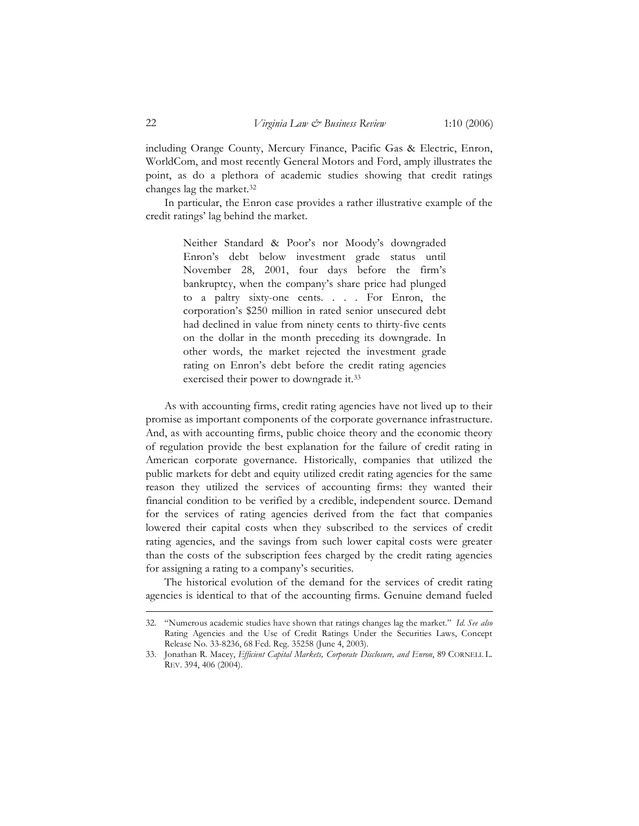including Orange County, Mercury Finance, Pacific Gas & Electric, Enron, WorldCom, and most recently General Motors and Ford, amply illustrates the point, as do a plethora of academic studies showing that credit ratings changes lag the market.32

In particular, the Enron case provides a rather illustrative example of the credit ratings' lag behind the market.

> Neither Standard & Poor's nor Moody's downgraded Enron's debt below investment grade status until November 28, 2001, four days before the firm's bankruptcy, when the company's share price had plunged to a paltry sixty-one cents. . . . For Enron, the corporation's \$250 million in rated senior unsecured debt had declined in value from ninety cents to thirty-five cents on the dollar in the month preceding its downgrade. In other words, the market rejected the investment grade rating on Enron's debt before the credit rating agencies exercised their power to downgrade it.33

As with accounting firms, credit rating agencies have not lived up to their promise as important components of the corporate governance infrastructure. And, as with accounting firms, public choice theory and the economic theory of regulation provide the best explanation for the failure of credit rating in American corporate governance. Historically, companies that utilized the public markets for debt and equity utilized credit rating agencies for the same reason they utilized the services of accounting firms: they wanted their financial condition to be verified by a credible, independent source. Demand for the services of rating agencies derived from the fact that companies lowered their capital costs when they subscribed to the services of credit rating agencies, and the savings from such lower capital costs were greater than the costs of the subscription fees charged by the credit rating agencies for assigning a rating to a company's securities.

The historical evolution of the demand for the services of credit rating agencies is identical to that of the accounting firms. Genuine demand fueled

<sup>32.</sup> "Numerous academic studies have shown that ratings changes lag the market." *Id*. *See also* Rating Agencies and the Use of Credit Ratings Under the Securities Laws, Concept Release No. 33-8236, 68 Fed. Reg. 35258 (June 4, 2003).

<sup>33.</sup> Jonathan R. Macey, *Efficient Capital Markets, Corporate Disclosure, and Enron*, 89 CORNELL L. REV. 394, 406 (2004).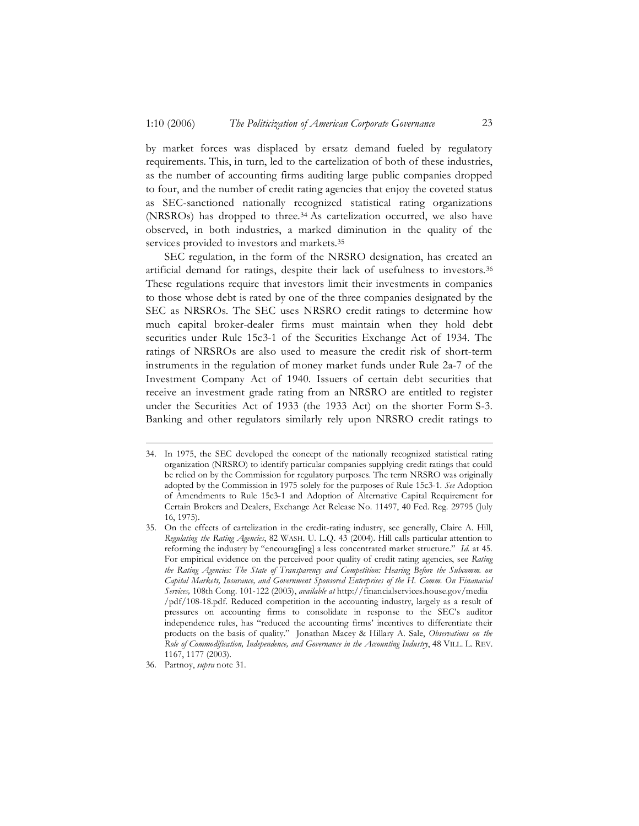by market forces was displaced by ersatz demand fueled by regulatory requirements. This, in turn, led to the cartelization of both of these industries, as the number of accounting firms auditing large public companies dropped to four, and the number of credit rating agencies that enjoy the coveted status as SEC-sanctioned nationally recognized statistical rating organizations (NRSROs) has dropped to three.34 As cartelization occurred, we also have observed, in both industries, a marked diminution in the quality of the services provided to investors and markets.35

SEC regulation, in the form of the NRSRO designation, has created an artificial demand for ratings, despite their lack of usefulness to investors.36 These regulations require that investors limit their investments in companies to those whose debt is rated by one of the three companies designated by the SEC as NRSROs. The SEC uses NRSRO credit ratings to determine how much capital broker-dealer firms must maintain when they hold debt securities under Rule 15c3-1 of the Securities Exchange Act of 1934. The ratings of NRSROs are also used to measure the credit risk of short-term instruments in the regulation of money market funds under Rule 2a-7 of the Investment Company Act of 1940. Issuers of certain debt securities that receive an investment grade rating from an NRSRO are entitled to register under the Securities Act of 1933 (the 1933 Act) on the shorter Form S-3. Banking and other regulators similarly rely upon NRSRO credit ratings to

<sup>34.</sup> In 1975, the SEC developed the concept of the nationally recognized statistical rating organization (NRSRO) to identify particular companies supplying credit ratings that could be relied on by the Commission for regulatory purposes. The term NRSRO was originally adopted by the Commission in 1975 solely for the purposes of Rule 15c3-1. *See* Adoption of Amendments to Rule 15c3-1 and Adoption of Alternative Capital Requirement for Certain Brokers and Dealers, Exchange Act Release No. 11497, 40 Fed. Reg. 29795 (July 16, 1975).

<sup>35.</sup> On the effects of cartelization in the credit-rating industry, see generally, Claire A. Hill, *Regulating the Rating Agencies*, 82 WASH. U. L.Q. 43 (2004). Hill calls particular attention to reforming the industry by "encourag[ing] a less concentrated market structure." *Id.* at 45. For empirical evidence on the perceived poor quality of credit rating agencies, see *Rating the Rating Agencies: The State of Transparency and Competition: Hearing Before the Subcomm. on Capital Markets, Insurance, and Government Sponsored Enterprises of the H. Comm. On Finanacial Services,* 108th Cong. 101-122 (2003), *available at* http://financialservices.house.gov/media /pdf/108-18.pdf. Reduced competition in the accounting industry, largely as a result of pressures on accounting firms to consolidate in response to the SEC's auditor independence rules, has "reduced the accounting firms' incentives to differentiate their products on the basis of quality." Jonathan Macey & Hillary A. Sale, *Observations on the Role of Commodification, Independence, and Governance in the Accounting Industry*, 48 VILL. L. REV. 1167, 1177 (2003).

<sup>36.</sup> Partnoy, *supra* note 31.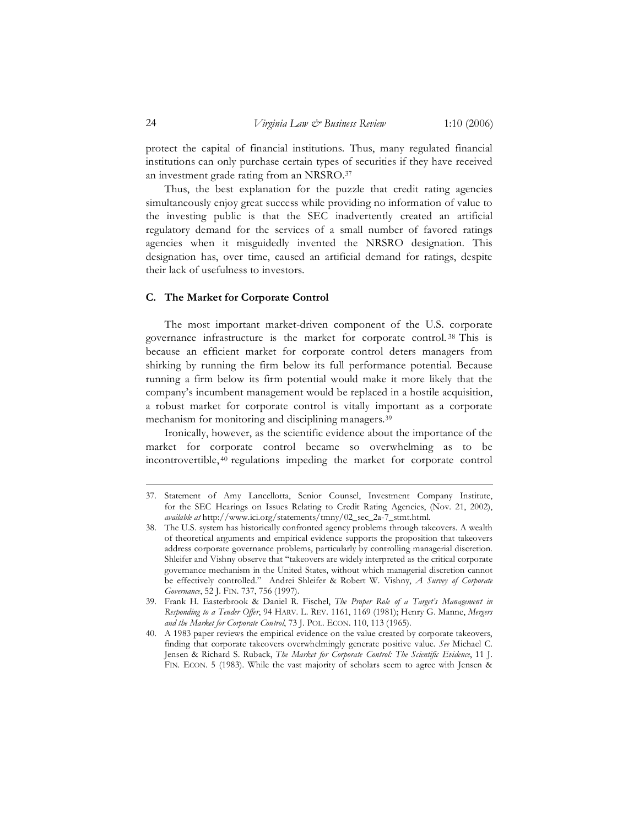protect the capital of financial institutions. Thus, many regulated financial institutions can only purchase certain types of securities if they have received an investment grade rating from an NRSRO.37

Thus, the best explanation for the puzzle that credit rating agencies simultaneously enjoy great success while providing no information of value to the investing public is that the SEC inadvertently created an artificial regulatory demand for the services of a small number of favored ratings agencies when it misguidedly invented the NRSRO designation. This designation has, over time, caused an artificial demand for ratings, despite their lack of usefulness to investors.

#### **C. The Market for Corporate Control**

The most important market-driven component of the U.S. corporate governance infrastructure is the market for corporate control. <sup>38</sup> This is because an efficient market for corporate control deters managers from shirking by running the firm below its full performance potential. Because running a firm below its firm potential would make it more likely that the company's incumbent management would be replaced in a hostile acquisition, a robust market for corporate control is vitally important as a corporate mechanism for monitoring and disciplining managers.39

Ironically, however, as the scientific evidence about the importance of the market for corporate control became so overwhelming as to be incontrovertible, <sup>40</sup> regulations impeding the market for corporate control

<sup>37.</sup> Statement of Amy Lancellotta, Senior Counsel, Investment Company Institute, for the SEC Hearings on Issues Relating to Credit Rating Agencies, (Nov. 21, 2002), *available at* http://www.ici.org/statements/tmny/02\_sec\_2a-7\_stmt.html.

<sup>38.</sup> The U.S. system has historically confronted agency problems through takeovers. A wealth of theoretical arguments and empirical evidence supports the proposition that takeovers address corporate governance problems, particularly by controlling managerial discretion. Shleifer and Vishny observe that "takeovers are widely interpreted as the critical corporate governance mechanism in the United States, without which managerial discretion cannot be effectively controlled." Andrei Shleifer & Robert W. Vishny, *A Survey of Corporate Governance*, 52 J. FIN. 737, 756 (1997).

<sup>39.</sup> Frank H. Easterbrook & Daniel R. Fischel, *The Proper Role of a Target's Management in Responding to a Tender Offer*, 94 HARV. L. REV. 1161, 1169 (1981); Henry G. Manne, *Mergers and the Market for Corporate Control*, 73 J. POL. ECON. 110, 113 (1965).

<sup>40.</sup> A 1983 paper reviews the empirical evidence on the value created by corporate takeovers, finding that corporate takeovers overwhelmingly generate positive value. *See* Michael C. Jensen & Richard S. Ruback, *The Market for Corporate Control: The Scientific Evidence*, 11 J. FIN. ECON. 5 (1983). While the vast majority of scholars seem to agree with Jensen &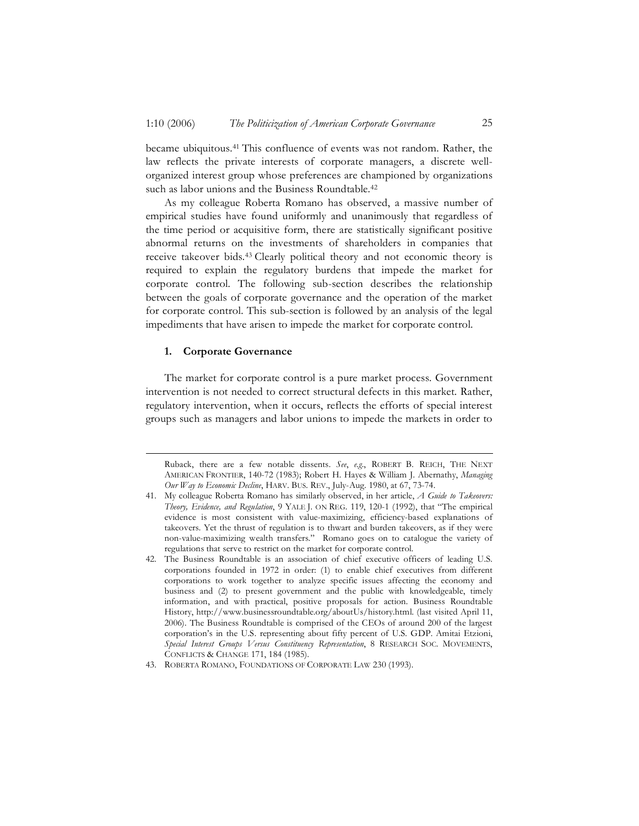became ubiquitous.41 This confluence of events was not random. Rather, the law reflects the private interests of corporate managers, a discrete wellorganized interest group whose preferences are championed by organizations such as labor unions and the Business Roundtable.<sup>42</sup>

As my colleague Roberta Romano has observed, a massive number of empirical studies have found uniformly and unanimously that regardless of the time period or acquisitive form, there are statistically significant positive abnormal returns on the investments of shareholders in companies that receive takeover bids.43 Clearly political theory and not economic theory is required to explain the regulatory burdens that impede the market for corporate control. The following sub-section describes the relationship between the goals of corporate governance and the operation of the market for corporate control. This sub-section is followed by an analysis of the legal impediments that have arisen to impede the market for corporate control.

#### **1. Corporate Governance**

 $\overline{a}$ 

The market for corporate control is a pure market process. Government intervention is not needed to correct structural defects in this market. Rather, regulatory intervention, when it occurs, reflects the efforts of special interest groups such as managers and labor unions to impede the markets in order to

Ruback, there are a few notable dissents. *See*, *e.g*., ROBERT B. REICH, THE NEXT AMERICAN FRONTIER, 140-72 (1983); Robert H. Hayes & William J. Abernathy, *Managing Our Way to Economic Decline*, HARV. BUS. REV., July-Aug. 1980, at 67, 73-74.

<sup>41.</sup> My colleague Roberta Romano has similarly observed, in her article, *A Guide to Takeovers: Theory, Evidence, and Regulation*, 9 YALE J. ON REG. 119, 120-1 (1992), that "The empirical evidence is most consistent with value-maximizing, efficiency-based explanations of takeovers. Yet the thrust of regulation is to thwart and burden takeovers, as if they were non-value-maximizing wealth transfers." Romano goes on to catalogue the variety of regulations that serve to restrict on the market for corporate control.

<sup>42.</sup> The Business Roundtable is an association of chief executive officers of leading U.S. corporations founded in 1972 in order: (1) to enable chief executives from different corporations to work together to analyze specific issues affecting the economy and business and (2) to present government and the public with knowledgeable, timely information, and with practical, positive proposals for action. Business Roundtable History, http://www.businessroundtable.org/aboutUs/history.html. (last visited April 11, 2006). The Business Roundtable is comprised of the CEOs of around 200 of the largest corporation's in the U.S. representing about fifty percent of U.S. GDP. Amitai Etzioni, *Special Interest Groups Versus Constituency Representation*, 8 RESEARCH SOC. MOVEMENTS, CONFLICTS & CHANGE 171, 184 (1985).

<sup>43.</sup> ROBERTA ROMANO, FOUNDATIONS OF CORPORATE LAW 230 (1993).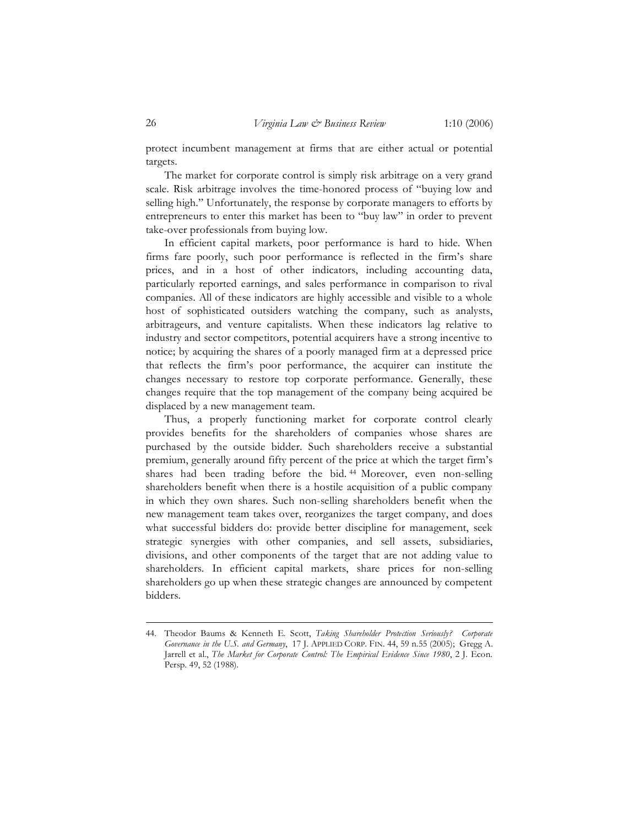protect incumbent management at firms that are either actual or potential targets.

The market for corporate control is simply risk arbitrage on a very grand scale. Risk arbitrage involves the time-honored process of "buying low and selling high." Unfortunately, the response by corporate managers to efforts by entrepreneurs to enter this market has been to "buy law" in order to prevent take-over professionals from buying low.

In efficient capital markets, poor performance is hard to hide. When firms fare poorly, such poor performance is reflected in the firm's share prices, and in a host of other indicators, including accounting data, particularly reported earnings, and sales performance in comparison to rival companies. All of these indicators are highly accessible and visible to a whole host of sophisticated outsiders watching the company, such as analysts, arbitrageurs, and venture capitalists. When these indicators lag relative to industry and sector competitors, potential acquirers have a strong incentive to notice; by acquiring the shares of a poorly managed firm at a depressed price that reflects the firm's poor performance, the acquirer can institute the changes necessary to restore top corporate performance. Generally, these changes require that the top management of the company being acquired be displaced by a new management team.

Thus, a properly functioning market for corporate control clearly provides benefits for the shareholders of companies whose shares are purchased by the outside bidder. Such shareholders receive a substantial premium, generally around fifty percent of the price at which the target firm's shares had been trading before the bid. <sup>44</sup> Moreover, even non-selling shareholders benefit when there is a hostile acquisition of a public company in which they own shares. Such non-selling shareholders benefit when the new management team takes over, reorganizes the target company, and does what successful bidders do: provide better discipline for management, seek strategic synergies with other companies, and sell assets, subsidiaries, divisions, and other components of the target that are not adding value to shareholders. In efficient capital markets, share prices for non-selling shareholders go up when these strategic changes are announced by competent bidders.

<sup>44.</sup> Theodor Baums & Kenneth E. Scott, *Taking Shareholder Protection Seriously? Corporate Governance in the U.S. and Germany*, 17 J. APPLIED CORP. FIN. 44, 59 n.55 (2005); Gregg A. Jarrell et al., *The Market for Corporate Control: The Empirical Evidence Since 1980*, 2 J. Econ. Persp. 49, 52 (1988).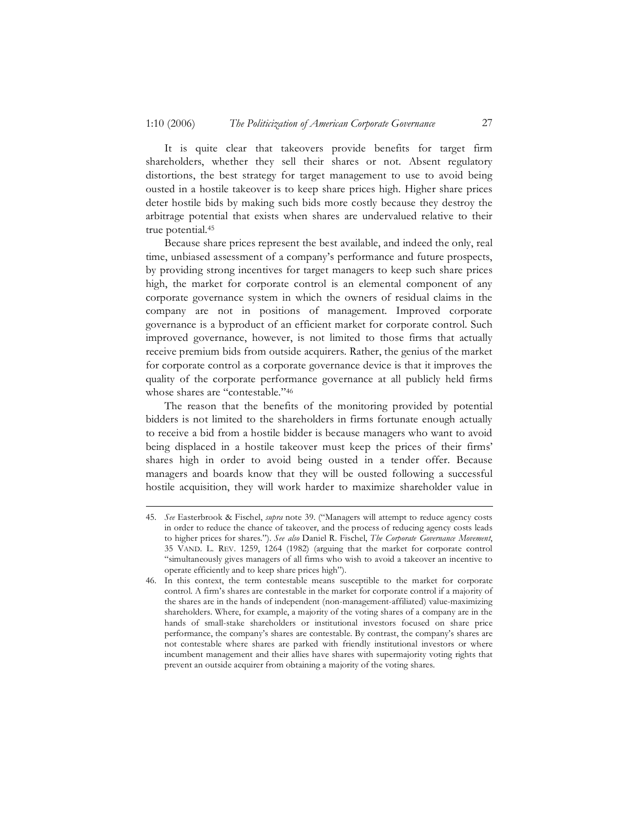It is quite clear that takeovers provide benefits for target firm shareholders, whether they sell their shares or not. Absent regulatory distortions, the best strategy for target management to use to avoid being ousted in a hostile takeover is to keep share prices high. Higher share prices deter hostile bids by making such bids more costly because they destroy the arbitrage potential that exists when shares are undervalued relative to their true potential.45

Because share prices represent the best available, and indeed the only, real time, unbiased assessment of a company's performance and future prospects, by providing strong incentives for target managers to keep such share prices high, the market for corporate control is an elemental component of any corporate governance system in which the owners of residual claims in the company are not in positions of management. Improved corporate governance is a byproduct of an efficient market for corporate control. Such improved governance, however, is not limited to those firms that actually receive premium bids from outside acquirers. Rather, the genius of the market for corporate control as a corporate governance device is that it improves the quality of the corporate performance governance at all publicly held firms whose shares are "contestable."46

The reason that the benefits of the monitoring provided by potential bidders is not limited to the shareholders in firms fortunate enough actually to receive a bid from a hostile bidder is because managers who want to avoid being displaced in a hostile takeover must keep the prices of their firms' shares high in order to avoid being ousted in a tender offer. Because managers and boards know that they will be ousted following a successful hostile acquisition, they will work harder to maximize shareholder value in

<sup>45.</sup> *See* Easterbrook & Fischel, *supra* note 39. ("Managers will attempt to reduce agency costs in order to reduce the chance of takeover, and the process of reducing agency costs leads to higher prices for shares."). *See also* Daniel R. Fischel, *The Corporate Governance Movement*, 35 VAND. L. REV. 1259, 1264 (1982) (arguing that the market for corporate control "simultaneously gives managers of all firms who wish to avoid a takeover an incentive to operate efficiently and to keep share prices high").

<sup>46.</sup> In this context, the term contestable means susceptible to the market for corporate control. A firm's shares are contestable in the market for corporate control if a majority of the shares are in the hands of independent (non-management-affiliated) value-maximizing shareholders. Where, for example, a majority of the voting shares of a company are in the hands of small-stake shareholders or institutional investors focused on share price performance, the company's shares are contestable. By contrast, the company's shares are not contestable where shares are parked with friendly institutional investors or where incumbent management and their allies have shares with supermajority voting rights that prevent an outside acquirer from obtaining a majority of the voting shares.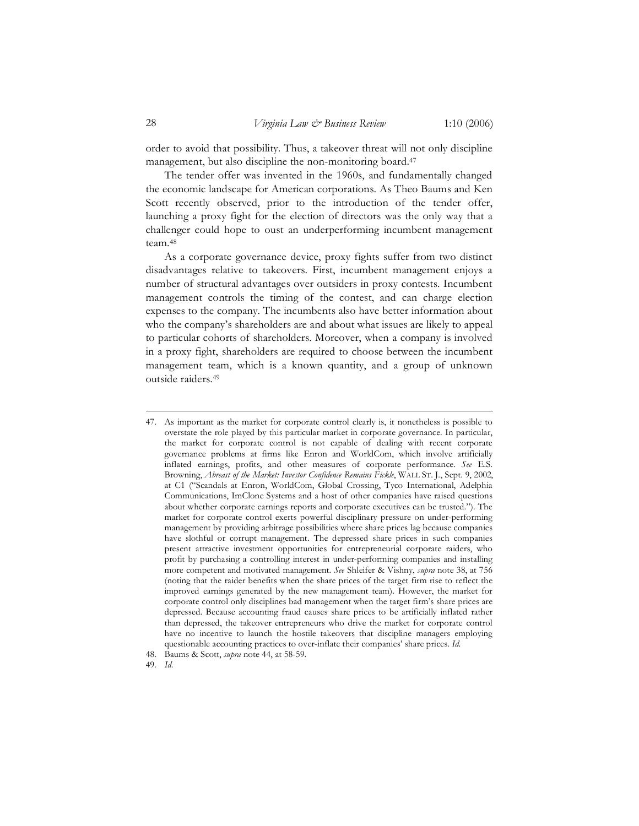order to avoid that possibility. Thus, a takeover threat will not only discipline management, but also discipline the non-monitoring board. 47

The tender offer was invented in the 1960s, and fundamentally changed the economic landscape for American corporations. As Theo Baums and Ken Scott recently observed, prior to the introduction of the tender offer, launching a proxy fight for the election of directors was the only way that a challenger could hope to oust an underperforming incumbent management team.48

As a corporate governance device, proxy fights suffer from two distinct disadvantages relative to takeovers. First, incumbent management enjoys a number of structural advantages over outsiders in proxy contests. Incumbent management controls the timing of the contest, and can charge election expenses to the company. The incumbents also have better information about who the company's shareholders are and about what issues are likely to appeal to particular cohorts of shareholders. Moreover, when a company is involved in a proxy fight, shareholders are required to choose between the incumbent management team, which is a known quantity, and a group of unknown outside raiders.49

<sup>47.</sup> As important as the market for corporate control clearly is, it nonetheless is possible to overstate the role played by this particular market in corporate governance. In particular, the market for corporate control is not capable of dealing with recent corporate governance problems at firms like Enron and WorldCom, which involve artificially inflated earnings, profits, and other measures of corporate performance. *See* E.S. Browning, *Abreast of the Market: Investor Confidence Remains Fickle*, WALL ST. J., Sept. 9, 2002, at C1 ("Scandals at Enron, WorldCom, Global Crossing, Tyco International, Adelphia Communications, ImClone Systems and a host of other companies have raised questions about whether corporate earnings reports and corporate executives can be trusted."). The market for corporate control exerts powerful disciplinary pressure on under-performing management by providing arbitrage possibilities where share prices lag because companies have slothful or corrupt management. The depressed share prices in such companies present attractive investment opportunities for entrepreneurial corporate raiders, who profit by purchasing a controlling interest in under-performing companies and installing more competent and motivated management. *See* Shleifer & Vishny, *supra* note 38, at 756 (noting that the raider benefits when the share prices of the target firm rise to reflect the improved earnings generated by the new management team). However, the market for corporate control only disciplines bad management when the target firm's share prices are depressed. Because accounting fraud causes share prices to be artificially inflated rather than depressed, the takeover entrepreneurs who drive the market for corporate control have no incentive to launch the hostile takeovers that discipline managers employing questionable accounting practices to over-inflate their companies' share prices. *Id*.

<sup>48.</sup> Baums & Scott, *supra* note 44, at 58-59.

<sup>49.</sup> *Id*.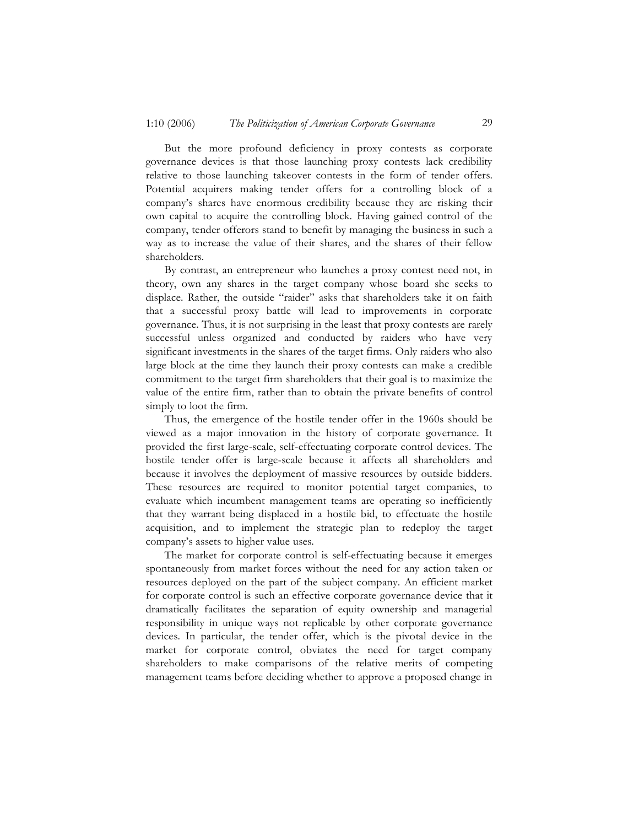But the more profound deficiency in proxy contests as corporate governance devices is that those launching proxy contests lack credibility relative to those launching takeover contests in the form of tender offers. Potential acquirers making tender offers for a controlling block of a company's shares have enormous credibility because they are risking their own capital to acquire the controlling block. Having gained control of the company, tender offerors stand to benefit by managing the business in such a way as to increase the value of their shares, and the shares of their fellow shareholders.

By contrast, an entrepreneur who launches a proxy contest need not, in theory, own any shares in the target company whose board she seeks to displace. Rather, the outside "raider" asks that shareholders take it on faith that a successful proxy battle will lead to improvements in corporate governance. Thus, it is not surprising in the least that proxy contests are rarely successful unless organized and conducted by raiders who have very significant investments in the shares of the target firms. Only raiders who also large block at the time they launch their proxy contests can make a credible commitment to the target firm shareholders that their goal is to maximize the value of the entire firm, rather than to obtain the private benefits of control simply to loot the firm.

Thus, the emergence of the hostile tender offer in the 1960s should be viewed as a major innovation in the history of corporate governance. It provided the first large-scale, self-effectuating corporate control devices. The hostile tender offer is large-scale because it affects all shareholders and because it involves the deployment of massive resources by outside bidders. These resources are required to monitor potential target companies, to evaluate which incumbent management teams are operating so inefficiently that they warrant being displaced in a hostile bid, to effectuate the hostile acquisition, and to implement the strategic plan to redeploy the target company's assets to higher value uses.

The market for corporate control is self-effectuating because it emerges spontaneously from market forces without the need for any action taken or resources deployed on the part of the subject company. An efficient market for corporate control is such an effective corporate governance device that it dramatically facilitates the separation of equity ownership and managerial responsibility in unique ways not replicable by other corporate governance devices. In particular, the tender offer, which is the pivotal device in the market for corporate control, obviates the need for target company shareholders to make comparisons of the relative merits of competing management teams before deciding whether to approve a proposed change in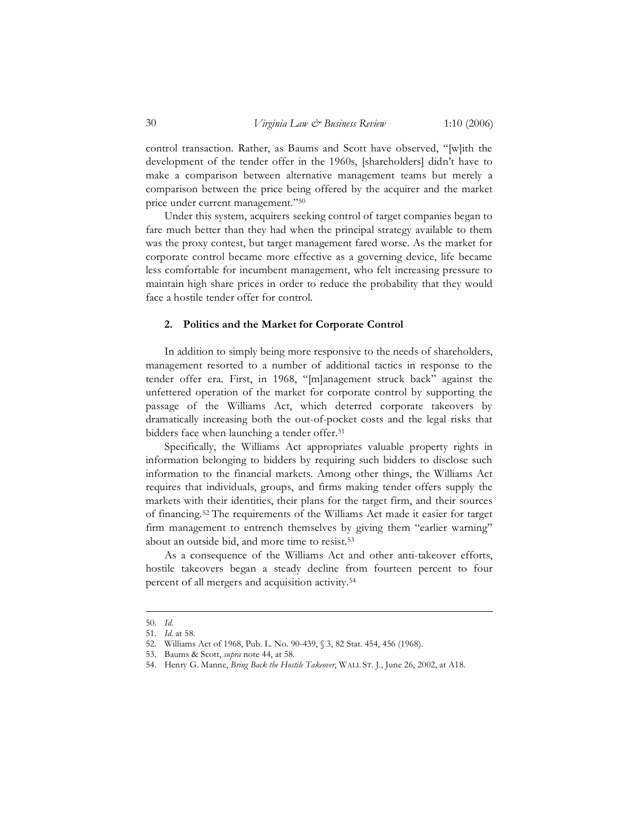control transaction. Rather, as Baums and Scott have observed, "[w]ith the development of the tender offer in the 1960s, [shareholders] didn't have to make a comparison between alternative management teams but merely a comparison between the price being offered by the acquirer and the market price under current management."50

Under this system, acquirers seeking control of target companies began to fare much better than they had when the principal strategy available to them was the proxy contest, but target management fared worse. As the market for corporate control became more effective as a governing device, life became less comfortable for incumbent management, who felt increasing pressure to maintain high share prices in order to reduce the probability that they would face a hostile tender offer for control.

#### **2. Politics and the Market for Corporate Control**

In addition to simply being more responsive to the needs of shareholders, management resorted to a number of additional tactics in response to the tender offer era. First, in 1968, "[m]anagement struck back" against the unfettered operation of the market for corporate control by supporting the passage of the Williams Act, which deterred corporate takeovers by dramatically increasing both the out-of-pocket costs and the legal risks that bidders face when launching a tender offer.<sup>51</sup>

Specifically, the Williams Act appropriates valuable property rights in information belonging to bidders by requiring such bidders to disclose such information to the financial markets. Among other things, the Williams Act requires that individuals, groups, and firms making tender offers supply the markets with their identities, their plans for the target firm, and their sources of financing.52 The requirements of the Williams Act made it easier for target firm management to entrench themselves by giving them "earlier warning" about an outside bid, and more time to resist.53

As a consequence of the Williams Act and other anti-takeover efforts, hostile takeovers began a steady decline from fourteen percent to four percent of all mergers and acquisition activity.54

<sup>50.</sup> *Id*.

<sup>51.</sup> *Id*. at 58.

<sup>52.</sup> Williams Act of 1968, Pub. L. No. 90-439, § 3, 82 Stat. 454, 456 (1968).

<sup>53.</sup> Baums & Scott, *supra* note 44, at 58.

<sup>54.</sup> Henry G. Manne, *Bring Back the Hostile Takeover*, WALL ST. J., June 26, 2002, at A18.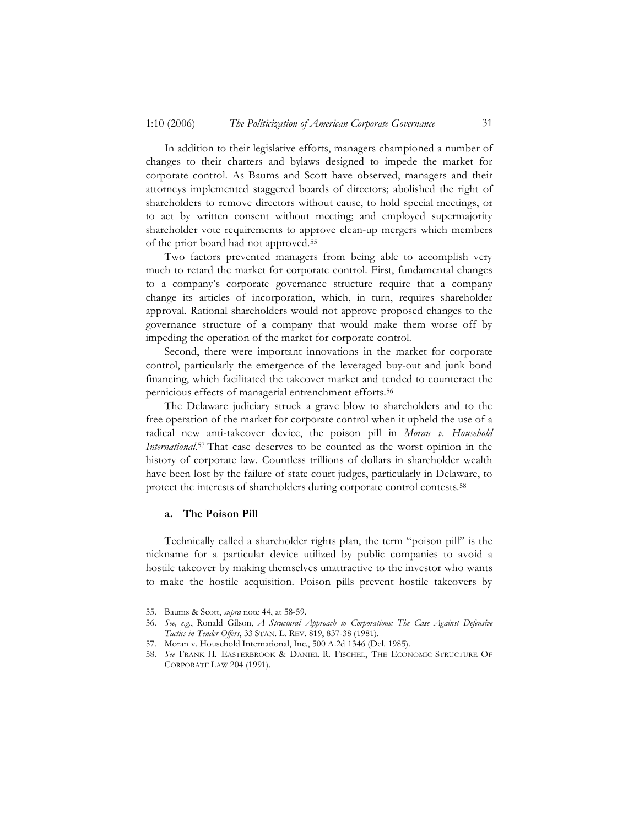In addition to their legislative efforts, managers championed a number of changes to their charters and bylaws designed to impede the market for corporate control. As Baums and Scott have observed, managers and their attorneys implemented staggered boards of directors; abolished the right of shareholders to remove directors without cause, to hold special meetings, or to act by written consent without meeting; and employed supermajority shareholder vote requirements to approve clean-up mergers which members of the prior board had not approved.55

Two factors prevented managers from being able to accomplish very much to retard the market for corporate control. First, fundamental changes to a company's corporate governance structure require that a company change its articles of incorporation, which, in turn, requires shareholder approval. Rational shareholders would not approve proposed changes to the governance structure of a company that would make them worse off by impeding the operation of the market for corporate control.

Second, there were important innovations in the market for corporate control, particularly the emergence of the leveraged buy-out and junk bond financing, which facilitated the takeover market and tended to counteract the pernicious effects of managerial entrenchment efforts.56

The Delaware judiciary struck a grave blow to shareholders and to the free operation of the market for corporate control when it upheld the use of a radical new anti-takeover device, the poison pill in *Moran v. Household International*.57 That case deserves to be counted as the worst opinion in the history of corporate law. Countless trillions of dollars in shareholder wealth have been lost by the failure of state court judges, particularly in Delaware, to protect the interests of shareholders during corporate control contests.58

#### **a. The Poison Pill**

Technically called a shareholder rights plan, the term "poison pill" is the nickname for a particular device utilized by public companies to avoid a hostile takeover by making themselves unattractive to the investor who wants to make the hostile acquisition. Poison pills prevent hostile takeovers by

<sup>55.</sup> Baums & Scott, *supra* note 44, at 58-59.

<sup>56.</sup> *See, e.g.*, Ronald Gilson, *A Structural Approach to Corporations: The Case Against Defensive Tactics in Tender Offers*, 33 STAN. L. REV. 819, 837-38 (1981).

<sup>57.</sup> Moran v. Household International, Inc., 500 A.2d 1346 (Del. 1985).

<sup>58.</sup> *See* FRANK H. EASTERBROOK & DANIEL R. FISCHEL, THE ECONOMIC STRUCTURE OF CORPORATE LAW 204 (1991).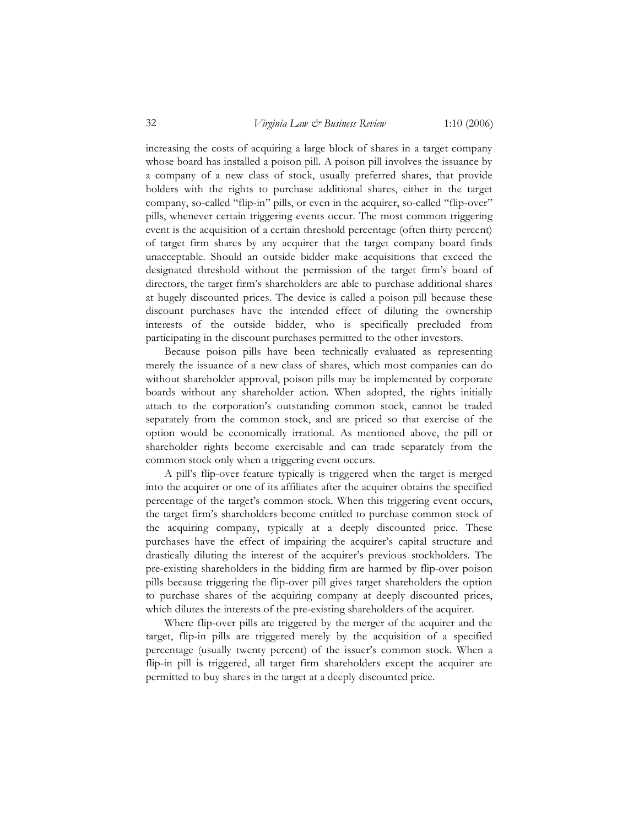increasing the costs of acquiring a large block of shares in a target company whose board has installed a poison pill. A poison pill involves the issuance by a company of a new class of stock, usually preferred shares, that provide holders with the rights to purchase additional shares, either in the target company, so-called "flip-in" pills, or even in the acquirer, so-called "flip-over" pills, whenever certain triggering events occur. The most common triggering event is the acquisition of a certain threshold percentage (often thirty percent) of target firm shares by any acquirer that the target company board finds unacceptable. Should an outside bidder make acquisitions that exceed the designated threshold without the permission of the target firm's board of directors, the target firm's shareholders are able to purchase additional shares at hugely discounted prices. The device is called a poison pill because these discount purchases have the intended effect of diluting the ownership interests of the outside bidder, who is specifically precluded from participating in the discount purchases permitted to the other investors.

Because poison pills have been technically evaluated as representing merely the issuance of a new class of shares, which most companies can do without shareholder approval, poison pills may be implemented by corporate boards without any shareholder action. When adopted, the rights initially attach to the corporation's outstanding common stock, cannot be traded separately from the common stock, and are priced so that exercise of the option would be economically irrational. As mentioned above, the pill or shareholder rights become exercisable and can trade separately from the common stock only when a triggering event occurs.

A pill's flip-over feature typically is triggered when the target is merged into the acquirer or one of its affiliates after the acquirer obtains the specified percentage of the target's common stock. When this triggering event occurs, the target firm's shareholders become entitled to purchase common stock of the acquiring company, typically at a deeply discounted price. These purchases have the effect of impairing the acquirer's capital structure and drastically diluting the interest of the acquirer's previous stockholders. The pre-existing shareholders in the bidding firm are harmed by flip-over poison pills because triggering the flip-over pill gives target shareholders the option to purchase shares of the acquiring company at deeply discounted prices, which dilutes the interests of the pre-existing shareholders of the acquirer.

Where flip-over pills are triggered by the merger of the acquirer and the target, flip-in pills are triggered merely by the acquisition of a specified percentage (usually twenty percent) of the issuer's common stock. When a flip-in pill is triggered, all target firm shareholders except the acquirer are permitted to buy shares in the target at a deeply discounted price.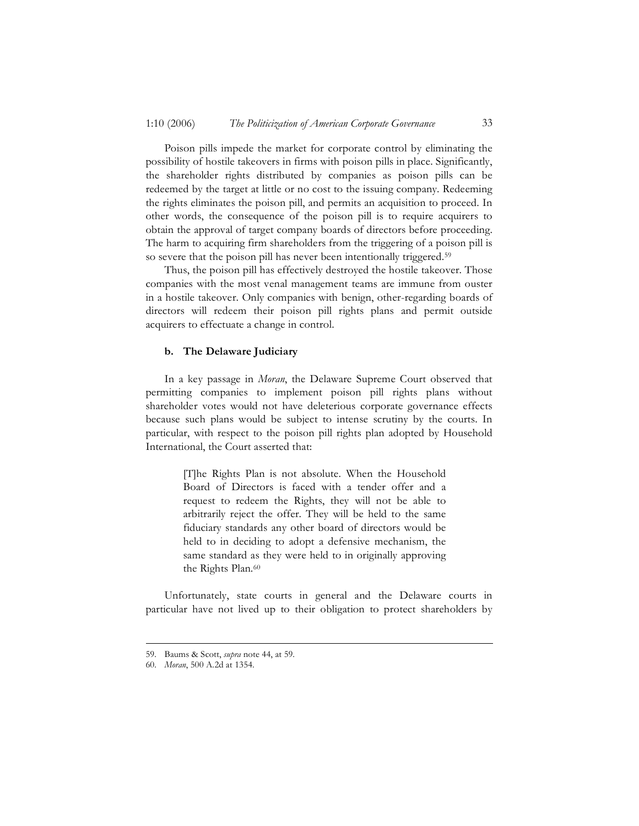Poison pills impede the market for corporate control by eliminating the possibility of hostile takeovers in firms with poison pills in place. Significantly, the shareholder rights distributed by companies as poison pills can be redeemed by the target at little or no cost to the issuing company. Redeeming the rights eliminates the poison pill, and permits an acquisition to proceed. In other words, the consequence of the poison pill is to require acquirers to obtain the approval of target company boards of directors before proceeding. The harm to acquiring firm shareholders from the triggering of a poison pill is so severe that the poison pill has never been intentionally triggered.59

Thus, the poison pill has effectively destroyed the hostile takeover. Those companies with the most venal management teams are immune from ouster in a hostile takeover. Only companies with benign, other-regarding boards of directors will redeem their poison pill rights plans and permit outside acquirers to effectuate a change in control.

#### **b. The Delaware Judiciary**

In a key passage in *Moran*, the Delaware Supreme Court observed that permitting companies to implement poison pill rights plans without shareholder votes would not have deleterious corporate governance effects because such plans would be subject to intense scrutiny by the courts. In particular, with respect to the poison pill rights plan adopted by Household International, the Court asserted that:

> [T]he Rights Plan is not absolute. When the Household Board of Directors is faced with a tender offer and a request to redeem the Rights, they will not be able to arbitrarily reject the offer. They will be held to the same fiduciary standards any other board of directors would be held to in deciding to adopt a defensive mechanism, the same standard as they were held to in originally approving the Rights Plan.<sup>60</sup>

Unfortunately, state courts in general and the Delaware courts in particular have not lived up to their obligation to protect shareholders by

<sup>59.</sup> Baums & Scott, *supra* note 44, at 59.

<sup>60.</sup> *Moran*, 500 A.2d at 1354.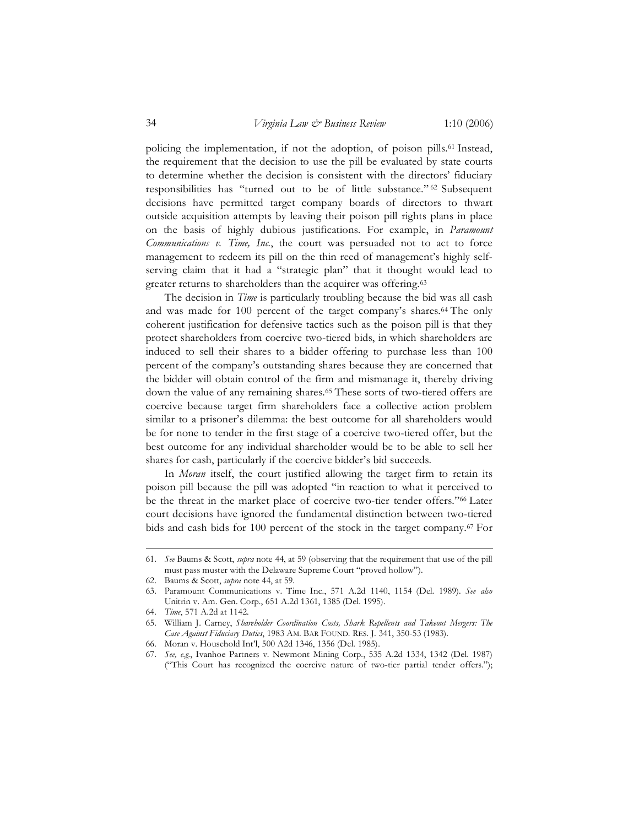policing the implementation, if not the adoption, of poison pills.<sup>61</sup> Instead, the requirement that the decision to use the pill be evaluated by state courts to determine whether the decision is consistent with the directors' fiduciary responsibilities has "turned out to be of little substance." <sup>62</sup> Subsequent decisions have permitted target company boards of directors to thwart outside acquisition attempts by leaving their poison pill rights plans in place on the basis of highly dubious justifications. For example, in *Paramount Communications v. Time, Inc.*, the court was persuaded not to act to force management to redeem its pill on the thin reed of management's highly selfserving claim that it had a "strategic plan" that it thought would lead to greater returns to shareholders than the acquirer was offering.63

The decision in *Time* is particularly troubling because the bid was all cash and was made for 100 percent of the target company's shares.64 The only coherent justification for defensive tactics such as the poison pill is that they protect shareholders from coercive two-tiered bids, in which shareholders are induced to sell their shares to a bidder offering to purchase less than 100 percent of the company's outstanding shares because they are concerned that the bidder will obtain control of the firm and mismanage it, thereby driving down the value of any remaining shares.65 These sorts of two-tiered offers are coercive because target firm shareholders face a collective action problem similar to a prisoner's dilemma: the best outcome for all shareholders would be for none to tender in the first stage of a coercive two-tiered offer, but the best outcome for any individual shareholder would be to be able to sell her shares for cash, particularly if the coercive bidder's bid succeeds.

In *Moran* itself, the court justified allowing the target firm to retain its poison pill because the pill was adopted "in reaction to what it perceived to be the threat in the market place of coercive two-tier tender offers."66 Later court decisions have ignored the fundamental distinction between two-tiered bids and cash bids for 100 percent of the stock in the target company.67 For

<sup>61.</sup> *See* Baums & Scott, *supra* note 44, at 59 (observing that the requirement that use of the pill must pass muster with the Delaware Supreme Court "proved hollow").

<sup>62.</sup> Baums & Scott, *supra* note 44, at 59.

<sup>63.</sup> Paramount Communications v. Time Inc., 571 A.2d 1140, 1154 (Del. 1989). *See also* Unitrin v. Am. Gen. Corp., 651 A.2d 1361, 1385 (Del. 1995).

<sup>64.</sup> *Time*, 571 A.2d at 1142.

<sup>65.</sup> William J. Carney, *Shareholder Coordination Costs, Shark Repellents and Takeout Mergers: The Case Against Fiduciary Duties*, 1983 AM. BAR FOUND. RES. J. 341, 350-53 (1983).

<sup>66.</sup> Moran v. Household Int'l, 500 A2d 1346, 1356 (Del. 1985).

<sup>67.</sup> *See, e.g.*, Ivanhoe Partners v. Newmont Mining Corp., 535 A.2d 1334, 1342 (Del. 1987) ("This Court has recognized the coercive nature of two-tier partial tender offers.");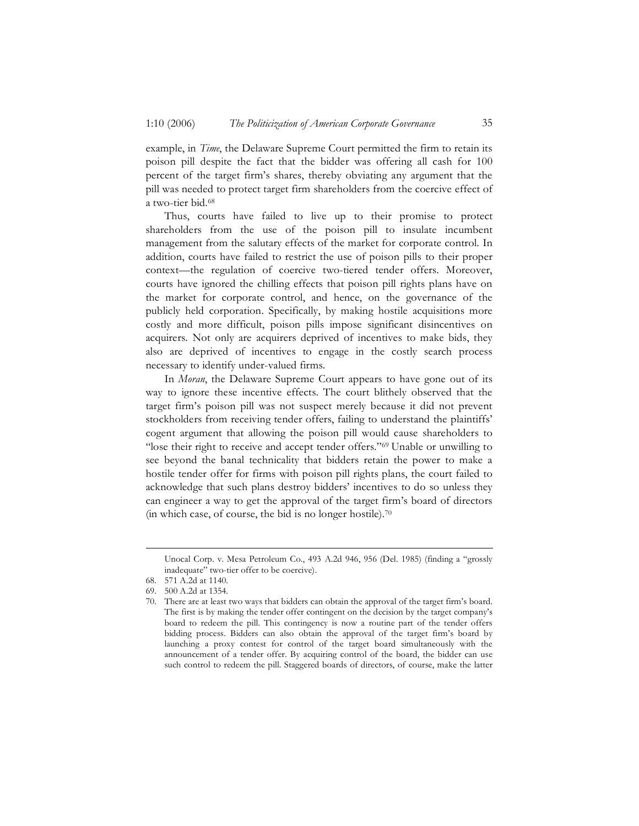example, in *Time*, the Delaware Supreme Court permitted the firm to retain its poison pill despite the fact that the bidder was offering all cash for 100 percent of the target firm's shares, thereby obviating any argument that the pill was needed to protect target firm shareholders from the coercive effect of a two-tier bid.68

Thus, courts have failed to live up to their promise to protect shareholders from the use of the poison pill to insulate incumbent management from the salutary effects of the market for corporate control. In addition, courts have failed to restrict the use of poison pills to their proper context—the regulation of coercive two-tiered tender offers. Moreover, courts have ignored the chilling effects that poison pill rights plans have on the market for corporate control, and hence, on the governance of the publicly held corporation. Specifically, by making hostile acquisitions more costly and more difficult, poison pills impose significant disincentives on acquirers. Not only are acquirers deprived of incentives to make bids, they also are deprived of incentives to engage in the costly search process necessary to identify under-valued firms.

In *Moran*, the Delaware Supreme Court appears to have gone out of its way to ignore these incentive effects. The court blithely observed that the target firm's poison pill was not suspect merely because it did not prevent stockholders from receiving tender offers, failing to understand the plaintiffs' cogent argument that allowing the poison pill would cause shareholders to "lose their right to receive and accept tender offers."69 Unable or unwilling to see beyond the banal technicality that bidders retain the power to make a hostile tender offer for firms with poison pill rights plans, the court failed to acknowledge that such plans destroy bidders' incentives to do so unless they can engineer a way to get the approval of the target firm's board of directors (in which case, of course, the bid is no longer hostile).<sup>70</sup>

Unocal Corp. v. Mesa Petroleum Co., 493 A.2d 946, 956 (Del. 1985) (finding a "grossly inadequate" two-tier offer to be coercive).

<sup>68.</sup> 571 A.2d at 1140.

<sup>69.</sup> 500 A.2d at 1354.

<sup>70.</sup> There are at least two ways that bidders can obtain the approval of the target firm's board. The first is by making the tender offer contingent on the decision by the target company's board to redeem the pill. This contingency is now a routine part of the tender offers bidding process. Bidders can also obtain the approval of the target firm's board by launching a proxy contest for control of the target board simultaneously with the announcement of a tender offer. By acquiring control of the board, the bidder can use such control to redeem the pill. Staggered boards of directors, of course, make the latter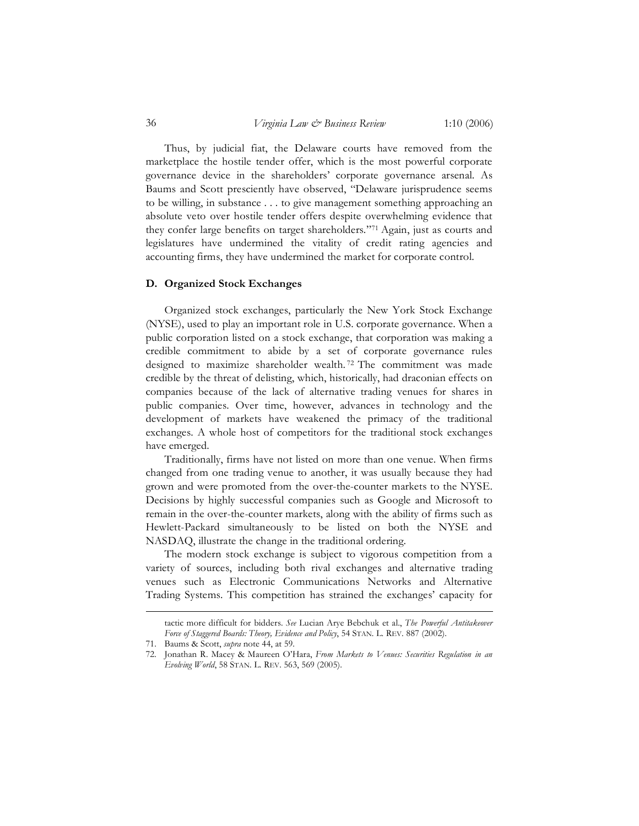Thus, by judicial fiat, the Delaware courts have removed from the marketplace the hostile tender offer, which is the most powerful corporate governance device in the shareholders' corporate governance arsenal. As Baums and Scott presciently have observed, "Delaware jurisprudence seems to be willing, in substance . . . to give management something approaching an absolute veto over hostile tender offers despite overwhelming evidence that they confer large benefits on target shareholders."71 Again, just as courts and legislatures have undermined the vitality of credit rating agencies and accounting firms, they have undermined the market for corporate control.

#### **D. Organized Stock Exchanges**

Organized stock exchanges, particularly the New York Stock Exchange (NYSE), used to play an important role in U.S. corporate governance. When a public corporation listed on a stock exchange, that corporation was making a credible commitment to abide by a set of corporate governance rules designed to maximize shareholder wealth. <sup>72</sup> The commitment was made credible by the threat of delisting, which, historically, had draconian effects on companies because of the lack of alternative trading venues for shares in public companies. Over time, however, advances in technology and the development of markets have weakened the primacy of the traditional exchanges. A whole host of competitors for the traditional stock exchanges have emerged.

Traditionally, firms have not listed on more than one venue. When firms changed from one trading venue to another, it was usually because they had grown and were promoted from the over-the-counter markets to the NYSE. Decisions by highly successful companies such as Google and Microsoft to remain in the over-the-counter markets, along with the ability of firms such as Hewlett-Packard simultaneously to be listed on both the NYSE and NASDAQ, illustrate the change in the traditional ordering.

The modern stock exchange is subject to vigorous competition from a variety of sources, including both rival exchanges and alternative trading venues such as Electronic Communications Networks and Alternative Trading Systems. This competition has strained the exchanges' capacity for

tactic more difficult for bidders. *See* Lucian Arye Bebchuk et al., *The Powerful Antitakeover Force of Staggered Boards: Theory, Evidence and Policy*, 54 STAN. L. REV. 887 (2002).

<sup>71.</sup> Baums & Scott, *supra* note 44, at 59.

<sup>72.</sup> Jonathan R. Macey & Maureen O'Hara, *From Markets to Venues: Securities Regulation in an Evolving World*, 58 STAN. L. REV. 563, 569 (2005).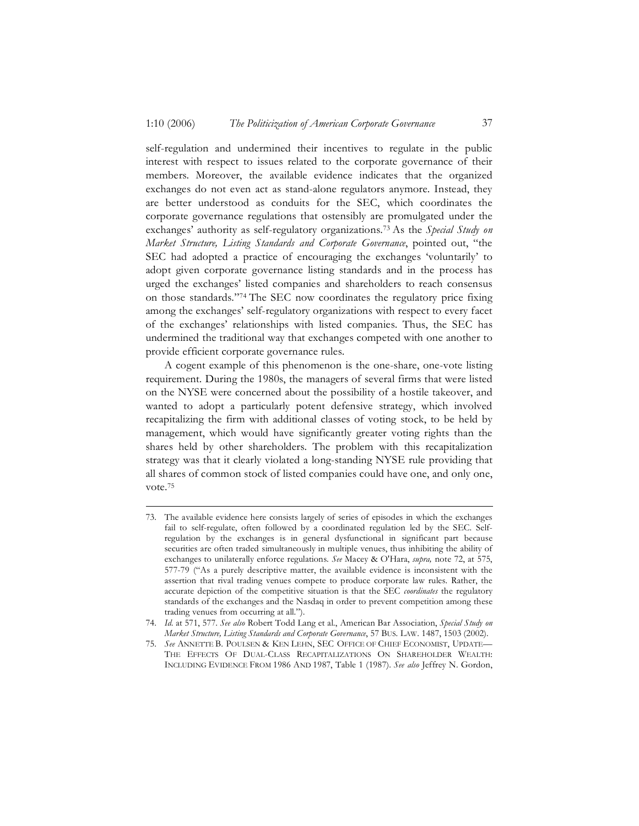self-regulation and undermined their incentives to regulate in the public interest with respect to issues related to the corporate governance of their members. Moreover, the available evidence indicates that the organized exchanges do not even act as stand-alone regulators anymore. Instead, they are better understood as conduits for the SEC, which coordinates the corporate governance regulations that ostensibly are promulgated under the exchanges' authority as self-regulatory organizations.73 As the *Special Study on Market Structure, Listing Standards and Corporate Governance*, pointed out, "the SEC had adopted a practice of encouraging the exchanges 'voluntarily' to adopt given corporate governance listing standards and in the process has urged the exchanges' listed companies and shareholders to reach consensus on those standards."74 The SEC now coordinates the regulatory price fixing among the exchanges' self-regulatory organizations with respect to every facet of the exchanges' relationships with listed companies. Thus, the SEC has undermined the traditional way that exchanges competed with one another to provide efficient corporate governance rules.

A cogent example of this phenomenon is the one-share, one-vote listing requirement. During the 1980s, the managers of several firms that were listed on the NYSE were concerned about the possibility of a hostile takeover, and wanted to adopt a particularly potent defensive strategy, which involved recapitalizing the firm with additional classes of voting stock, to be held by management, which would have significantly greater voting rights than the shares held by other shareholders. The problem with this recapitalization strategy was that it clearly violated a long-standing NYSE rule providing that all shares of common stock of listed companies could have one, and only one, vote.75

<sup>73.</sup> The available evidence here consists largely of series of episodes in which the exchanges fail to self-regulate, often followed by a coordinated regulation led by the SEC. Selfregulation by the exchanges is in general dysfunctional in significant part because securities are often traded simultaneously in multiple venues, thus inhibiting the ability of exchanges to unilaterally enforce regulations. *See* Macey & O'Hara, *supra,* note 72, at 575, 577-79 ("As a purely descriptive matter, the available evidence is inconsistent with the assertion that rival trading venues compete to produce corporate law rules. Rather, the accurate depiction of the competitive situation is that the SEC *coordinates* the regulatory standards of the exchanges and the Nasdaq in order to prevent competition among these trading venues from occurring at all.").

<sup>74.</sup> *Id*. at 571, 577. *See also* Robert Todd Lang et al., American Bar Association, *Special Study on Market Structure, Listing Standards and Corporate Governance*, 57 BUS. LAW. 1487, 1503 (2002).

<sup>75.</sup> *See* ANNETTE B. POULSEN & KEN LEHN, SEC OFFICE OF CHIEF ECONOMIST, UPDATE— THE EFFECTS OF DUAL-CLASS RECAPITALIZATIONS ON SHAREHOLDER WEALTH: INCLUDING EVIDENCE FROM 1986 AND 1987, Table 1 (1987). *See also* Jeffrey N. Gordon,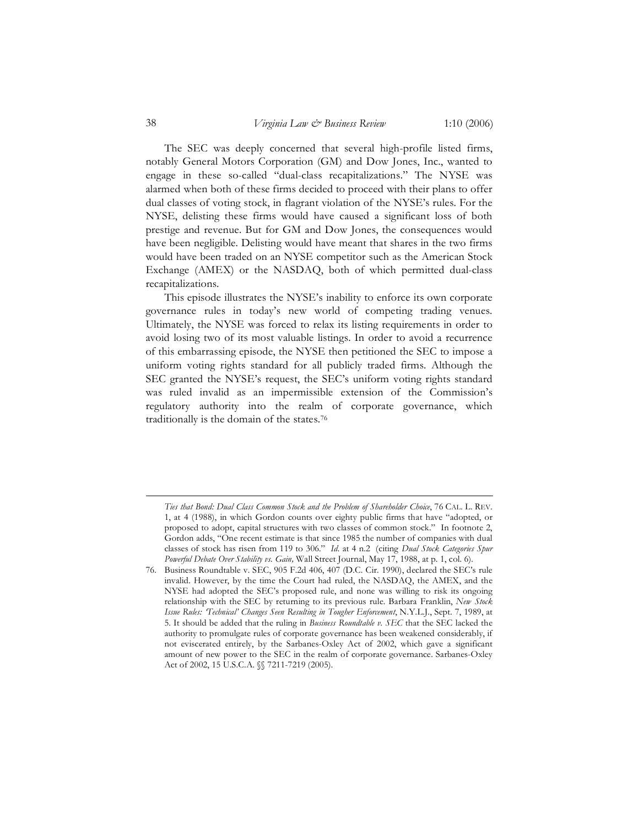The SEC was deeply concerned that several high-profile listed firms, notably General Motors Corporation (GM) and Dow Jones, Inc., wanted to engage in these so-called "dual-class recapitalizations." The NYSE was alarmed when both of these firms decided to proceed with their plans to offer dual classes of voting stock, in flagrant violation of the NYSE's rules. For the NYSE, delisting these firms would have caused a significant loss of both prestige and revenue. But for GM and Dow Jones, the consequences would have been negligible. Delisting would have meant that shares in the two firms would have been traded on an NYSE competitor such as the American Stock Exchange (AMEX) or the NASDAQ, both of which permitted dual-class recapitalizations.

This episode illustrates the NYSE's inability to enforce its own corporate governance rules in today's new world of competing trading venues. Ultimately, the NYSE was forced to relax its listing requirements in order to avoid losing two of its most valuable listings. In order to avoid a recurrence of this embarrassing episode, the NYSE then petitioned the SEC to impose a uniform voting rights standard for all publicly traded firms. Although the SEC granted the NYSE's request, the SEC's uniform voting rights standard was ruled invalid as an impermissible extension of the Commission's regulatory authority into the realm of corporate governance, which traditionally is the domain of the states.76

*Ties that Bond: Dual Class Common Stock and the Problem of Shareholder Choice*, 76 CAL. L. REV. 1, at 4 (1988), in which Gordon counts over eighty public firms that have "adopted, or proposed to adopt, capital structures with two classes of common stock." In footnote 2, Gordon adds, "One recent estimate is that since 1985 the number of companies with dual classes of stock has risen from 119 to 306." *Id.* at 4 n.2 (citing *Dual Stock Categories Spur Powerful Debate Over Stability vs. Gain,* Wall Street Journal, May 17, 1988, at p. 1, col. 6).

<sup>76.</sup> Business Roundtable v. SEC, 905 F.2d 406, 407 (D.C. Cir. 1990), declared the SEC's rule invalid. However, by the time the Court had ruled, the NASDAQ, the AMEX, and the NYSE had adopted the SEC's proposed rule, and none was willing to risk its ongoing relationship with the SEC by returning to its previous rule. Barbara Franklin, *New Stock Issue Rules: 'Technical' Changes Seen Resulting in Tougher Enforcement*, N.Y.L.J., Sept. 7, 1989, at 5. It should be added that the ruling in *Business Roundtable v. SEC* that the SEC lacked the authority to promulgate rules of corporate governance has been weakened considerably, if not eviscerated entirely, by the Sarbanes-Oxley Act of 2002, which gave a significant amount of new power to the SEC in the realm of corporate governance. Sarbanes-Oxley Act of 2002, 15 U.S.C.A. §§ 7211-7219 (2005).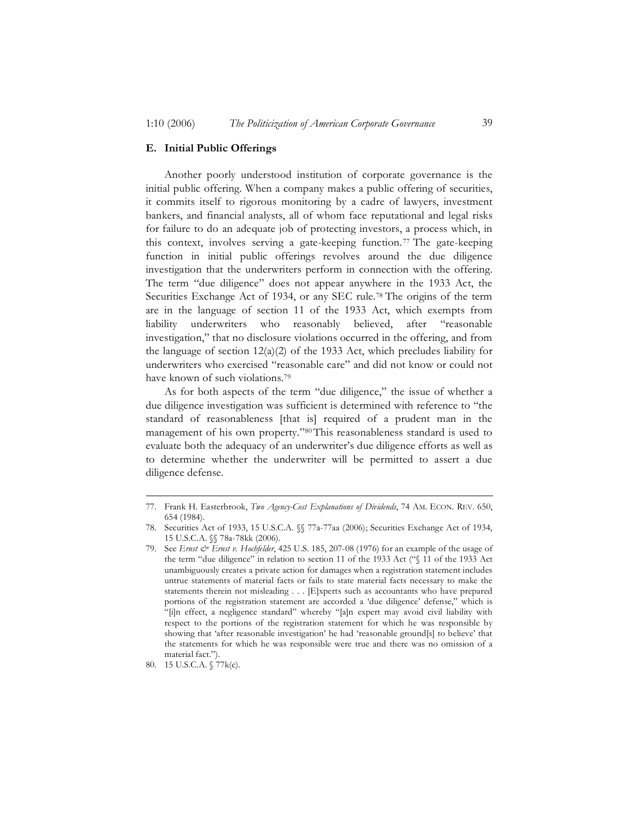#### **E. Initial Public Offerings**

Another poorly understood institution of corporate governance is the initial public offering. When a company makes a public offering of securities, it commits itself to rigorous monitoring by a cadre of lawyers, investment bankers, and financial analysts, all of whom face reputational and legal risks for failure to do an adequate job of protecting investors, a process which, in this context, involves serving a gate-keeping function.77 The gate-keeping function in initial public offerings revolves around the due diligence investigation that the underwriters perform in connection with the offering. The term "due diligence" does not appear anywhere in the 1933 Act, the Securities Exchange Act of 1934, or any SEC rule.78 The origins of the term are in the language of section 11 of the 1933 Act, which exempts from liability underwriters who reasonably believed, after "reasonable investigation," that no disclosure violations occurred in the offering, and from the language of section 12(a)(2) of the 1933 Act, which precludes liability for underwriters who exercised "reasonable care" and did not know or could not have known of such violations.79

As for both aspects of the term "due diligence," the issue of whether a due diligence investigation was sufficient is determined with reference to "the standard of reasonableness [that is] required of a prudent man in the management of his own property."80This reasonableness standard is used to evaluate both the adequacy of an underwriter's due diligence efforts as well as to determine whether the underwriter will be permitted to assert a due diligence defense.

<sup>77.</sup> Frank H. Easterbrook, *Two Agency-Cost Explanations of Dividends*, 74 AM. ECON. REV. 650, 654 (1984).

<sup>78.</sup> Securities Act of 1933, 15 U.S.C.A. §§ 77a-77aa (2006); Securities Exchange Act of 1934, 15 U.S.C.A. §§ 78a-78kk (2006).

<sup>79.</sup> See *Ernst & Ernst v. Hochfelder*, 425 U.S. 185, 207-08 (1976) for an example of the usage of the term "due diligence" in relation to section 11 of the 1933 Act ("§ 11 of the 1933 Act unambiguously creates a private action for damages when a registration statement includes untrue statements of material facts or fails to state material facts necessary to make the statements therein not misleading . . . [E]xperts such as accountants who have prepared portions of the registration statement are accorded a 'due diligence' defense," which is "[i]n effect, a negligence standard" whereby "[a]n expert may avoid civil liability with respect to the portions of the registration statement for which he was responsible by showing that 'after reasonable investigation' he had 'reasonable ground[s] to believe' that the statements for which he was responsible were true and there was no omission of a material fact.").

<sup>80.</sup> 15 U.S.C.A. § 77k(c).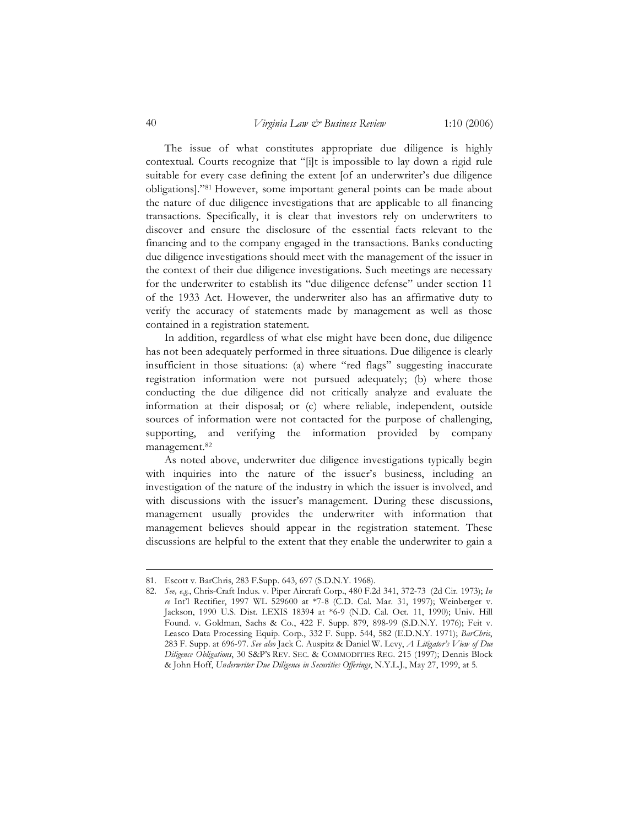The issue of what constitutes appropriate due diligence is highly contextual. Courts recognize that "[i]t is impossible to lay down a rigid rule suitable for every case defining the extent [of an underwriter's due diligence obligations]."81 However, some important general points can be made about the nature of due diligence investigations that are applicable to all financing transactions. Specifically, it is clear that investors rely on underwriters to discover and ensure the disclosure of the essential facts relevant to the financing and to the company engaged in the transactions. Banks conducting due diligence investigations should meet with the management of the issuer in the context of their due diligence investigations. Such meetings are necessary for the underwriter to establish its "due diligence defense" under section 11 of the 1933 Act. However, the underwriter also has an affirmative duty to verify the accuracy of statements made by management as well as those contained in a registration statement.

In addition, regardless of what else might have been done, due diligence has not been adequately performed in three situations. Due diligence is clearly insufficient in those situations: (a) where "red flags" suggesting inaccurate registration information were not pursued adequately; (b) where those conducting the due diligence did not critically analyze and evaluate the information at their disposal; or (c) where reliable, independent, outside sources of information were not contacted for the purpose of challenging, supporting, and verifying the information provided by company management.82

As noted above, underwriter due diligence investigations typically begin with inquiries into the nature of the issuer's business, including an investigation of the nature of the industry in which the issuer is involved, and with discussions with the issuer's management. During these discussions, management usually provides the underwriter with information that management believes should appear in the registration statement. These discussions are helpful to the extent that they enable the underwriter to gain a

<sup>81.</sup> Escott v. BarChris, 283 F.Supp. 643, 697 (S.D.N.Y. 1968).

<sup>82.</sup> *See, e.g.*, Chris-Craft Indus. v. Piper Aircraft Corp., 480 F.2d 341, 372-73 (2d Cir. 1973); *In re* Int'l Rectifier, 1997 WL 529600 at \*7-8 (C.D. Cal. Mar. 31, 1997); Weinberger v. Jackson, 1990 U.S. Dist. LEXIS 18394 at \*6-9 (N.D. Cal. Oct. 11, 1990); Univ. Hill Found. v. Goldman, Sachs & Co., 422 F. Supp. 879, 898-99 (S.D.N.Y. 1976); Feit v. Leasco Data Processing Equip. Corp., 332 F. Supp. 544, 582 (E.D.N.Y. 1971); *BarChris*, 283 F. Supp. at 696-97. *See also* Jack C. Auspitz & Daniel W. Levy, *A Litigator's View of Due Diligence Obligations*, 30 S&P'S REV. SEC. & COMMODITIES REG. 215 (1997); Dennis Block & John Hoff, *Underwriter Due Diligence in Securities Offerings*, N.Y.L.J., May 27, 1999, at 5.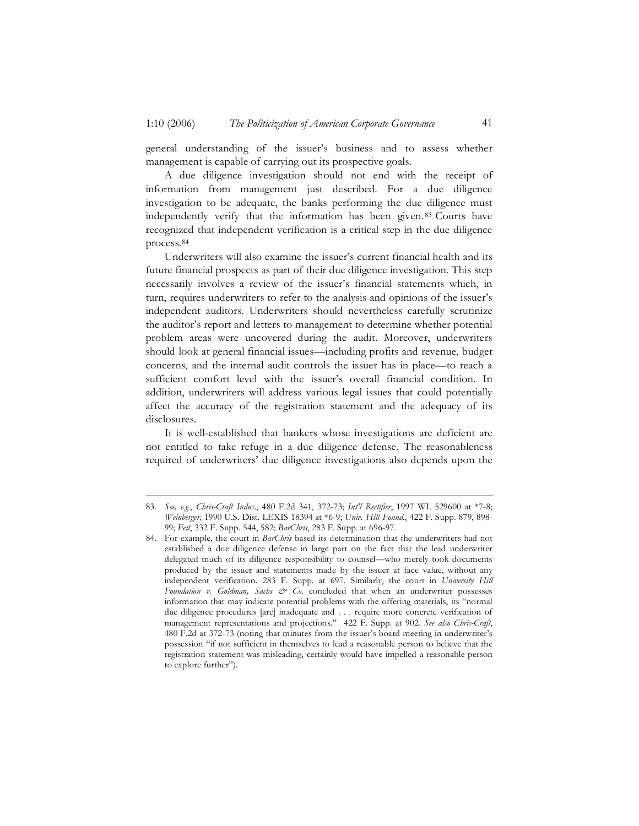general understanding of the issuer's business and to assess whether management is capable of carrying out its prospective goals.

A due diligence investigation should not end with the receipt of information from management just described. For a due diligence investigation to be adequate, the banks performing the due diligence must independently verify that the information has been given. <sup>83</sup> Courts have recognized that independent verification is a critical step in the due diligence process.84

Underwriters will also examine the issuer's current financial health and its future financial prospects as part of their due diligence investigation. This step necessarily involves a review of the issuer's financial statements which, in turn, requires underwriters to refer to the analysis and opinions of the issuer's independent auditors. Underwriters should nevertheless carefully scrutinize the auditor's report and letters to management to determine whether potential problem areas were uncovered during the audit. Moreover, underwriters should look at general financial issues—including profits and revenue, budget concerns, and the internal audit controls the issuer has in place—to reach a sufficient comfort level with the issuer's overall financial condition. In addition, underwriters will address various legal issues that could potentially affect the accuracy of the registration statement and the adequacy of its disclosures.

It is well-established that bankers whose investigations are deficient are not entitled to take refuge in a due diligence defense. The reasonableness required of underwriters' due diligence investigations also depends upon the

<sup>83.</sup> *See, e.g.*, *Chris-Craft Indus.*, 480 F.2d 341, 372-73; *Int'l Rectifier*, 1997 WL 529600 at \*7-8; *Weinberger,* 1990 U.S. Dist. LEXIS 18394 at \*6-9; *Univ. Hill Found.*, 422 F. Supp. 879, 898- 99; *Feit*, 332 F. Supp. 544, 582; *BarChris*, 283 F. Supp. at 696-97.

<sup>84.</sup> For example, the court in *BarChris* based its determination that the underwriters had not established a due diligence defense in large part on the fact that the lead underwriter delegated much of its diligence responsibility to counsel—who merely took documents produced by the issuer and statements made by the issuer at face value, without any independent verification. 283 F. Supp. at 697. Similarly, the court in *University Hill Foundation v. Goldman, Sachs & Co.* concluded that when an underwriter possesses information that may indicate potential problems with the offering materials, its "normal due diligence procedures [are] inadequate and . . . require more concrete verification of management representations and projections." 422 F. Supp. at 902. *See also Chris-Craft*, 480 F.2d at 372-73 (noting that minutes from the issuer's board meeting in underwriter's possession "if not sufficient in themselves to lead a reasonable person to believe that the registration statement was misleading, certainly would have impelled a reasonable person to explore further").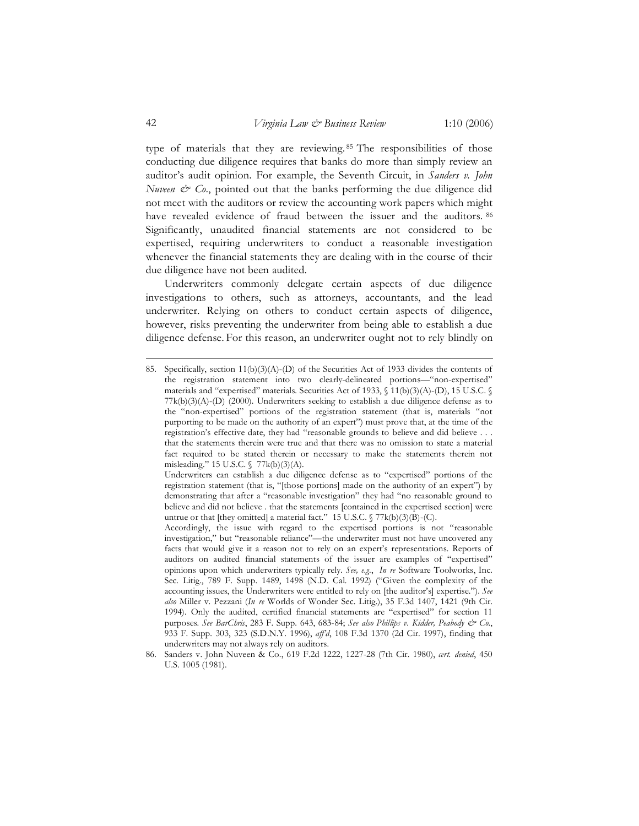type of materials that they are reviewing. <sup>85</sup> The responsibilities of those conducting due diligence requires that banks do more than simply review an auditor's audit opinion. For example, the Seventh Circuit, in *Sanders v. John Nuveen*  $\mathcal{E}$  *Co.*, pointed out that the banks performing the due diligence did not meet with the auditors or review the accounting work papers which might have revealed evidence of fraud between the issuer and the auditors. 86 Significantly, unaudited financial statements are not considered to be expertised, requiring underwriters to conduct a reasonable investigation whenever the financial statements they are dealing with in the course of their due diligence have not been audited.

Underwriters commonly delegate certain aspects of due diligence investigations to others, such as attorneys, accountants, and the lead underwriter. Relying on others to conduct certain aspects of diligence, however, risks preventing the underwriter from being able to establish a due diligence defense. For this reason, an underwriter ought not to rely blindly on

<sup>85.</sup> Specifically, section 11(b)(3)(A)-(D) of the Securities Act of 1933 divides the contents of the registration statement into two clearly-delineated portions—"non-expertised" materials and "expertised" materials. Securities Act of 1933, § 11(b)(3)(A)-(D), 15 U.S.C. § 77k(b)(3)(A)-(D) (2000). Underwriters seeking to establish a due diligence defense as to the "non-expertised" portions of the registration statement (that is, materials "not purporting to be made on the authority of an expert") must prove that, at the time of the registration's effective date, they had "reasonable grounds to believe and did believe . . . that the statements therein were true and that there was no omission to state a material fact required to be stated therein or necessary to make the statements therein not misleading." 15 U.S.C. § 77k(b)(3)(A).

Underwriters can establish a due diligence defense as to "expertised" portions of the registration statement (that is, "[those portions] made on the authority of an expert") by demonstrating that after a "reasonable investigation" they had "no reasonable ground to believe and did not believe . that the statements [contained in the expertised section] were untrue or that [they omitted] a material fact."  $15$  U.S.C. § 77k(b)(3)(B)-(C).

Accordingly, the issue with regard to the expertised portions is not "reasonable investigation," but "reasonable reliance"—the underwriter must not have uncovered any facts that would give it a reason not to rely on an expert's representations. Reports of auditors on audited financial statements of the issuer are examples of "expertised" opinions upon which underwriters typically rely. *See, e.g.*, *In re* Software Toolworks, Inc. Sec. Litig., 789 F. Supp. 1489, 1498 (N.D. Cal. 1992) ("Given the complexity of the accounting issues, the Underwriters were entitled to rely on [the auditor's] expertise."). *See also* Miller v. Pezzani (*In re* Worlds of Wonder Sec. Litig.), 35 F.3d 1407, 1421 (9th Cir. 1994). Only the audited, certified financial statements are "expertised" for section 11 purposes. *See BarChris*, 283 F. Supp. 643, 683-84; *See also Phillips v. Kidder, Peabody & Co.*, 933 F. Supp. 303, 323 (S.D.N.Y. 1996), *aff'd*, 108 F.3d 1370 (2d Cir. 1997), finding that underwriters may not always rely on auditors.

<sup>86.</sup> Sanders v. John Nuveen & Co., 619 F.2d 1222, 1227-28 (7th Cir. 1980), *cert. denied*, 450 U.S. 1005 (1981).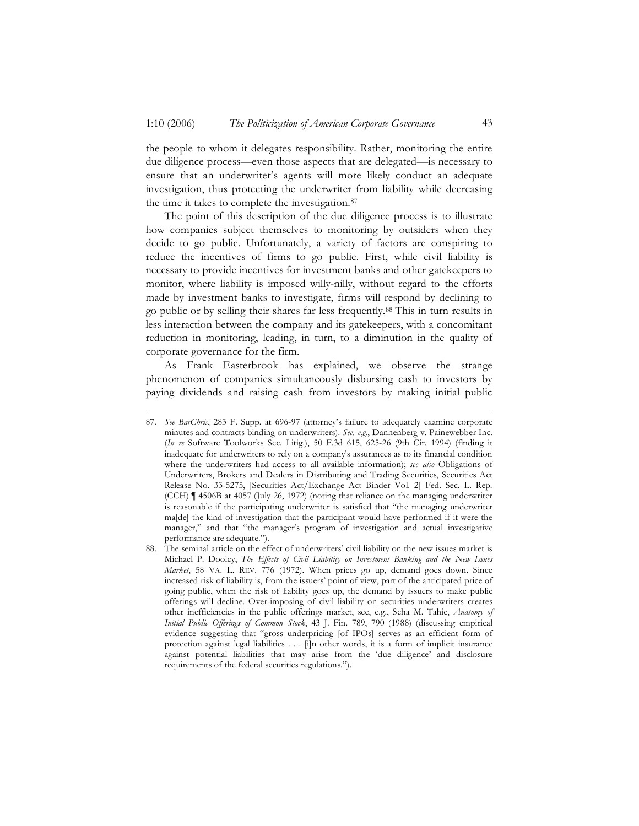the people to whom it delegates responsibility. Rather, monitoring the entire due diligence process—even those aspects that are delegated—is necessary to ensure that an underwriter's agents will more likely conduct an adequate investigation, thus protecting the underwriter from liability while decreasing the time it takes to complete the investigation.87

The point of this description of the due diligence process is to illustrate how companies subject themselves to monitoring by outsiders when they decide to go public. Unfortunately, a variety of factors are conspiring to reduce the incentives of firms to go public. First, while civil liability is necessary to provide incentives for investment banks and other gatekeepers to monitor, where liability is imposed willy-nilly, without regard to the efforts made by investment banks to investigate, firms will respond by declining to go public or by selling their shares far less frequently.88 This in turn results in less interaction between the company and its gatekeepers, with a concomitant reduction in monitoring, leading, in turn, to a diminution in the quality of corporate governance for the firm.

As Frank Easterbrook has explained, we observe the strange phenomenon of companies simultaneously disbursing cash to investors by paying dividends and raising cash from investors by making initial public

<sup>87.</sup> *See BarChris*, 283 F. Supp. at 696-97 (attorney's failure to adequately examine corporate minutes and contracts binding on underwriters). *See, e.g.*, Dannenberg v. Painewebber Inc. (*In re* Software Toolworks Sec. Litig.), 50 F.3d 615, 625-26 (9th Cir. 1994) (finding it inadequate for underwriters to rely on a company's assurances as to its financial condition where the underwriters had access to all available information); *see also* Obligations of Underwriters, Brokers and Dealers in Distributing and Trading Securities, Securities Act Release No. 33-5275, [Securities Act/Exchange Act Binder Vol. 2] Fed. Sec. L. Rep. (CCH) ¶ 4506B at 4057 (July 26, 1972) (noting that reliance on the managing underwriter is reasonable if the participating underwriter is satisfied that "the managing underwriter ma[de] the kind of investigation that the participant would have performed if it were the manager," and that "the manager's program of investigation and actual investigative performance are adequate.").

<sup>88.</sup> The seminal article on the effect of underwriters' civil liability on the new issues market is Michael P. Dooley, *The Effects of Civil Liability on Investment Banking and the New Issues Market*, 58 VA. L. REV. 776 (1972). When prices go up, demand goes down. Since increased risk of liability is, from the issuers' point of view, part of the anticipated price of going public, when the risk of liability goes up, the demand by issuers to make public offerings will decline. Over-imposing of civil liability on securities underwriters creates other inefficiencies in the public offerings market, see, e.g., Seha M. Tahic, *Anatomy of Initial Public Offerings of Common Stock*, 43 J. Fin. 789, 790 (1988) (discussing empirical evidence suggesting that "gross underpricing [of IPOs] serves as an efficient form of protection against legal liabilities . . . [i]n other words, it is a form of implicit insurance against potential liabilities that may arise from the 'due diligence' and disclosure requirements of the federal securities regulations.").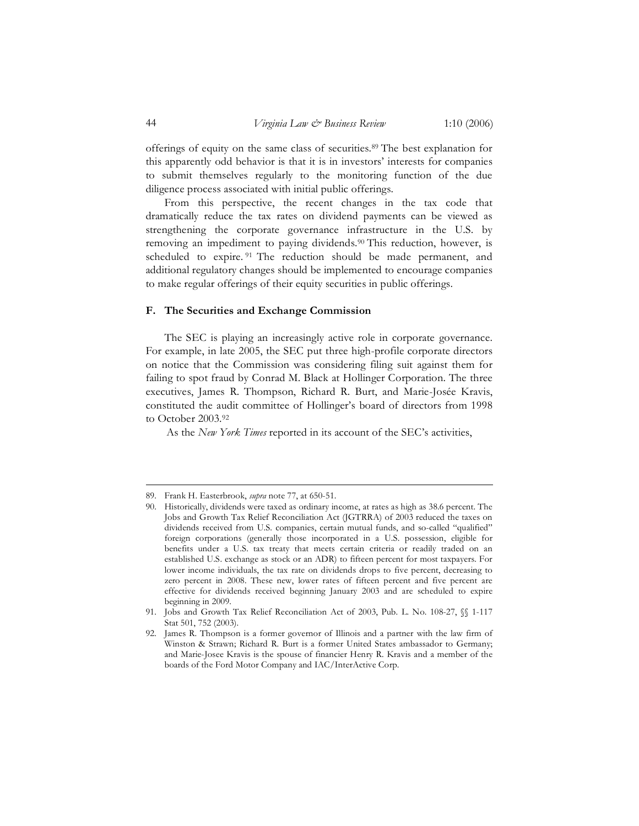offerings of equity on the same class of securities.89 The best explanation for this apparently odd behavior is that it is in investors' interests for companies to submit themselves regularly to the monitoring function of the due diligence process associated with initial public offerings.

From this perspective, the recent changes in the tax code that dramatically reduce the tax rates on dividend payments can be viewed as strengthening the corporate governance infrastructure in the U.S. by removing an impediment to paying dividends.90 This reduction, however, is scheduled to expire. <sup>91</sup> The reduction should be made permanent, and additional regulatory changes should be implemented to encourage companies to make regular offerings of their equity securities in public offerings.

#### **F. The Securities and Exchange Commission**

The SEC is playing an increasingly active role in corporate governance. For example, in late 2005, the SEC put three high-profile corporate directors on notice that the Commission was considering filing suit against them for failing to spot fraud by Conrad M. Black at Hollinger Corporation. The three executives, James R. Thompson, Richard R. Burt, and Marie-Josée Kravis, constituted the audit committee of Hollinger's board of directors from 1998 to October 2003.92

As the *New York Times* reported in its account of the SEC's activities,

<sup>89.</sup> Frank H. Easterbrook, *supra* note 77, at 650-51.

<sup>90.</sup> Historically, dividends were taxed as ordinary income, at rates as high as 38.6 percent. The Jobs and Growth Tax Relief Reconciliation Act (JGTRRA) of 2003 reduced the taxes on dividends received from U.S. companies, certain mutual funds, and so-called "qualified" foreign corporations (generally those incorporated in a U.S. possession, eligible for benefits under a U.S. tax treaty that meets certain criteria or readily traded on an established U.S. exchange as stock or an ADR) to fifteen percent for most taxpayers. For lower income individuals, the tax rate on dividends drops to five percent, decreasing to zero percent in 2008. These new, lower rates of fifteen percent and five percent are effective for dividends received beginning January 2003 and are scheduled to expire beginning in 2009.

<sup>91.</sup> Jobs and Growth Tax Relief Reconciliation Act of 2003, Pub. L. No. 108-27,  $\%$  1-117 Stat 501, 752 (2003).

<sup>92.</sup> James R. Thompson is a former governor of Illinois and a partner with the law firm of Winston & Strawn; Richard R. Burt is a former United States ambassador to Germany; and Marie-Josee Kravis is the spouse of financier Henry R. Kravis and a member of the boards of the Ford Motor Company and IAC/InterActive Corp.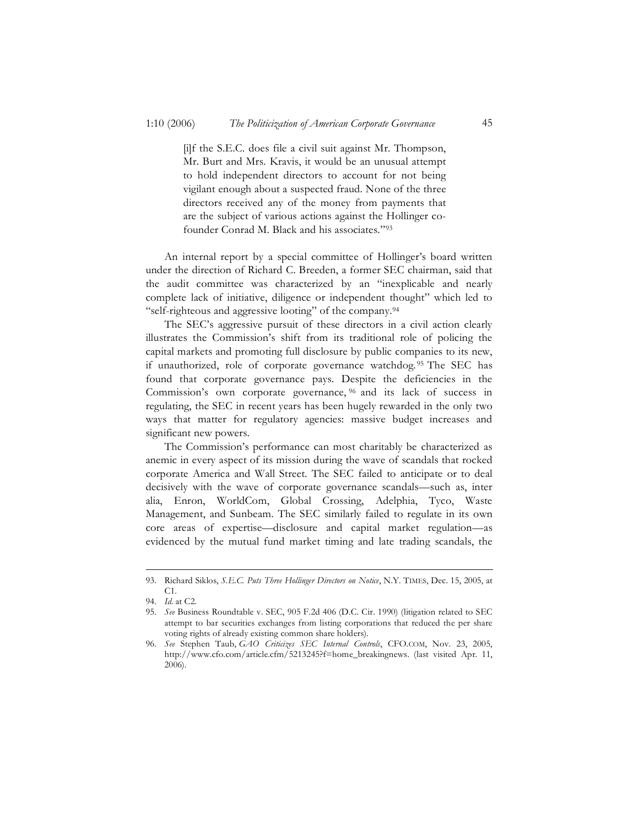[i]f the S.E.C. does file a civil suit against Mr. Thompson, Mr. Burt and Mrs. Kravis, it would be an unusual attempt to hold independent directors to account for not being vigilant enough about a suspected fraud. None of the three directors received any of the money from payments that are the subject of various actions against the Hollinger cofounder Conrad M. Black and his associates."93

An internal report by a special committee of Hollinger's board written under the direction of Richard C. Breeden, a former SEC chairman, said that the audit committee was characterized by an "inexplicable and nearly complete lack of initiative, diligence or independent thought" which led to "self-righteous and aggressive looting" of the company.94

The SEC's aggressive pursuit of these directors in a civil action clearly illustrates the Commission's shift from its traditional role of policing the capital markets and promoting full disclosure by public companies to its new, if unauthorized, role of corporate governance watchdog. <sup>95</sup> The SEC has found that corporate governance pays. Despite the deficiencies in the Commission's own corporate governance, <sup>96</sup> and its lack of success in regulating, the SEC in recent years has been hugely rewarded in the only two ways that matter for regulatory agencies: massive budget increases and significant new powers.

The Commission's performance can most charitably be characterized as anemic in every aspect of its mission during the wave of scandals that rocked corporate America and Wall Street. The SEC failed to anticipate or to deal decisively with the wave of corporate governance scandals—such as, inter alia, Enron, WorldCom, Global Crossing, Adelphia, Tyco, Waste Management, and Sunbeam. The SEC similarly failed to regulate in its own core areas of expertise—disclosure and capital market regulation—as evidenced by the mutual fund market timing and late trading scandals, the

<sup>93.</sup> Richard Siklos, *S.E.C. Puts Three Hollinger Directors on Notice*, N.Y. TIMES, Dec. 15, 2005, at C1.

<sup>94.</sup> *Id*. at C2.

<sup>95.</sup> *See* Business Roundtable v. SEC, 905 F.2d 406 (D.C. Cir. 1990) (litigation related to SEC attempt to bar securities exchanges from listing corporations that reduced the per share voting rights of already existing common share holders).

<sup>96.</sup> *See* Stephen Taub, *GAO Criticizes SEC Internal Controls*, CFO.COM, Nov. 23, 2005, http://www.cfo.com/article.cfm/5213245?f=home\_breakingnews. (last visited Apr. 11, 2006).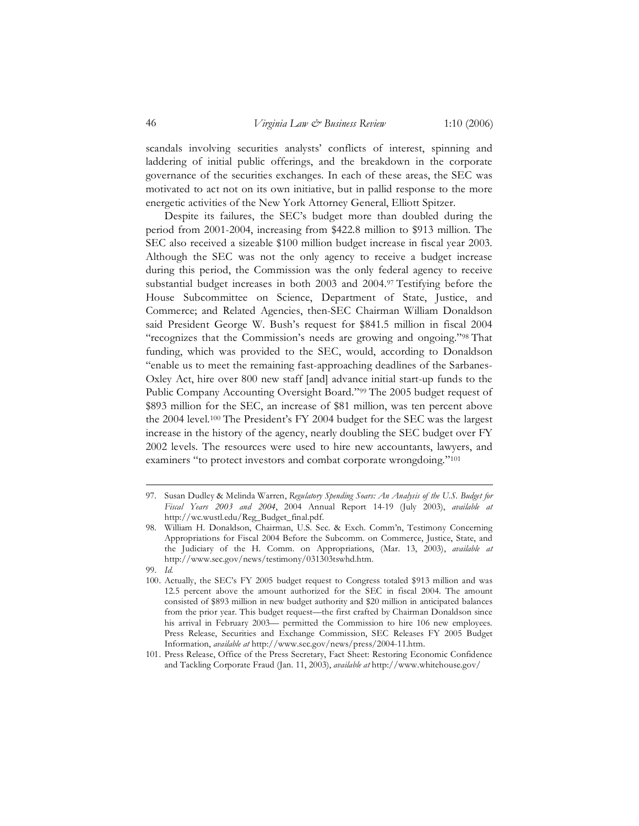scandals involving securities analysts' conflicts of interest, spinning and laddering of initial public offerings, and the breakdown in the corporate governance of the securities exchanges. In each of these areas, the SEC was motivated to act not on its own initiative, but in pallid response to the more energetic activities of the New York Attorney General, Elliott Spitzer.

Despite its failures, the SEC's budget more than doubled during the period from 2001-2004, increasing from \$422.8 million to \$913 million. The SEC also received a sizeable \$100 million budget increase in fiscal year 2003. Although the SEC was not the only agency to receive a budget increase during this period, the Commission was the only federal agency to receive substantial budget increases in both 2003 and 2004.97 Testifying before the House Subcommittee on Science, Department of State, Justice, and Commerce; and Related Agencies, then-SEC Chairman William Donaldson said President George W. Bush's request for \$841.5 million in fiscal 2004 "recognizes that the Commission's needs are growing and ongoing."98 That funding, which was provided to the SEC, would, according to Donaldson "enable us to meet the remaining fast-approaching deadlines of the Sarbanes-Oxley Act, hire over 800 new staff [and] advance initial start-up funds to the Public Company Accounting Oversight Board."99 The 2005 budget request of \$893 million for the SEC, an increase of \$81 million, was ten percent above the 2004 level.100 The President's FY 2004 budget for the SEC was the largest increase in the history of the agency, nearly doubling the SEC budget over FY 2002 levels. The resources were used to hire new accountants, lawyers, and examiners "to protect investors and combat corporate wrongdoing."101

<sup>97.</sup> Susan Dudley & Melinda Warren, *Regulatory Spending Soars: An Analysis of the U.S. Budget for Fiscal Years 2003 and 2004*, 2004 Annual Report 14-19 (July 2003), *available at* http://wc.wustl.edu/Reg\_Budget\_final.pdf.

<sup>98.</sup> William H. Donaldson, Chairman, U.S. Sec. & Exch. Comm'n, Testimony Concerning Appropriations for Fiscal 2004 Before the Subcomm. on Commerce, Justice, State, and the Judiciary of the H. Comm. on Appropriations, (Mar. 13, 2003), *available at* http://www.sec.gov/news/testimony/031303tswhd.htm.

<sup>99.</sup> *Id.*

<sup>100.</sup> Actually, the SEC's FY 2005 budget request to Congress totaled \$913 million and was 12.5 percent above the amount authorized for the SEC in fiscal 2004. The amount consisted of \$893 million in new budget authority and \$20 million in anticipated balances from the prior year. This budget request—the first crafted by Chairman Donaldson since his arrival in February 2003— permitted the Commission to hire 106 new employees. Press Release, Securities and Exchange Commission, SEC Releases FY 2005 Budget Information, *available at* http://www.sec.gov/news/press/2004-11.htm.

<sup>101.</sup> Press Release, Office of the Press Secretary, Fact Sheet: Restoring Economic Confidence and Tackling Corporate Fraud (Jan. 11, 2003), *available at* http://www.whitehouse.gov/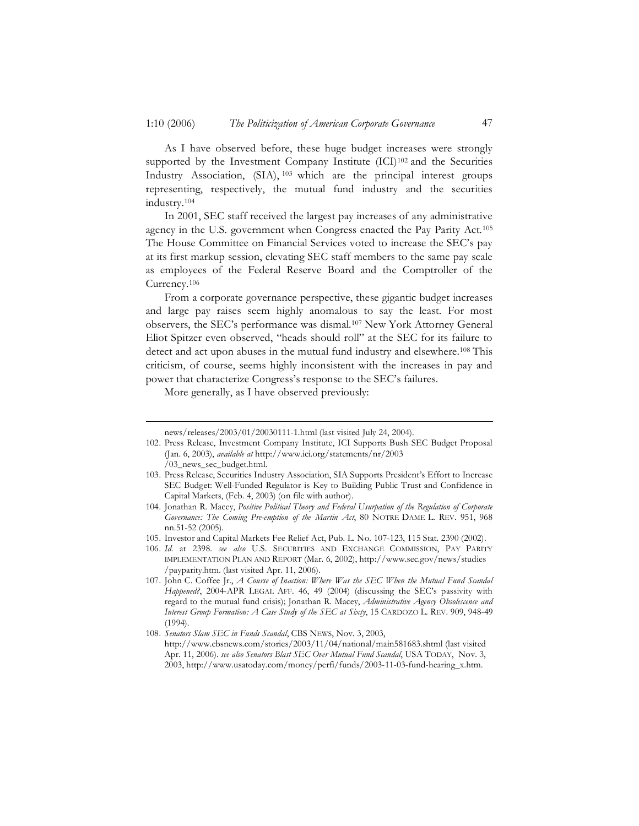As I have observed before, these huge budget increases were strongly supported by the Investment Company Institute  $(ICI)^{102}$  and the Securities Industry Association, (SIA), <sup>103</sup> which are the principal interest groups representing, respectively, the mutual fund industry and the securities industry.104

In 2001, SEC staff received the largest pay increases of any administrative agency in the U.S. government when Congress enacted the Pay Parity Act.105 The House Committee on Financial Services voted to increase the SEC's pay at its first markup session, elevating SEC staff members to the same pay scale as employees of the Federal Reserve Board and the Comptroller of the Currency.106

From a corporate governance perspective, these gigantic budget increases and large pay raises seem highly anomalous to say the least. For most observers, the SEC's performance was dismal.107 New York Attorney General Eliot Spitzer even observed, "heads should roll" at the SEC for its failure to detect and act upon abuses in the mutual fund industry and elsewhere.108 This criticism, of course, seems highly inconsistent with the increases in pay and power that characterize Congress's response to the SEC's failures.

More generally, as I have observed previously:

news/releases/2003/01/20030111-1.html (last visited July 24, 2004).

<sup>102.</sup> Press Release, Investment Company Institute, ICI Supports Bush SEC Budget Proposal (Jan. 6, 2003), *available at* http://www.ici.org/statements/nr/2003 /03\_news\_sec\_budget.html.

<sup>103.</sup> Press Release, Securities Industry Association, SIA Supports President's Effort to Increase SEC Budget: Well-Funded Regulator is Key to Building Public Trust and Confidence in Capital Markets, (Feb. 4, 2003) (on file with author).

<sup>104.</sup> Jonathan R. Macey, *Positive Political Theory and Federal Usurpation of the Regulation of Corporate Governance: The Coming Pre-emption of the Martin Act*, 80 NOTRE DAME L. REV. 951, 968 nn.51-52 (2005).

<sup>105.</sup> Investor and Capital Markets Fee Relief Act, Pub. L. No. 107-123, 115 Stat. 2390 (2002).

<sup>106.</sup> *Id*. at 2398. *see also* U.S. SECURITIES AND EXCHANGE COMMISSION, PAY PARITY IMPLEMENTATION PLAN AND REPORT (Mar. 6, 2002), http://www.sec.gov/news/studies /payparity.htm. (last visited Apr. 11, 2006).

<sup>107.</sup> John C. Coffee Jr., *A Course of Inaction: Where Was the SEC When the Mutual Fund Scandal Happened?*, 2004-APR LEGAL AFF. 46, 49 (2004) (discussing the SEC's passivity with regard to the mutual fund crisis); Jonathan R. Macey, *Administrative Agency Obsolescence and Interest Group Formation: A Case Study of the SEC at Sixty*, 15 CARDOZO L. REV. 909, 948-49 (1994).

<sup>108.</sup> *Senators Slam SEC in Funds Scandal*, CBS NEWS, Nov. 3, 2003, http://www.cbsnews.com/stories/2003/11/04/national/main581683.shtml (last visited Apr. 11, 2006). *see also Senators Blast SEC Over Mutual Fund Scandal*, USA TODAY, Nov. 3, 2003, http://www.usatoday.com/money/perfi/funds/2003-11-03-fund-hearing\_x.htm.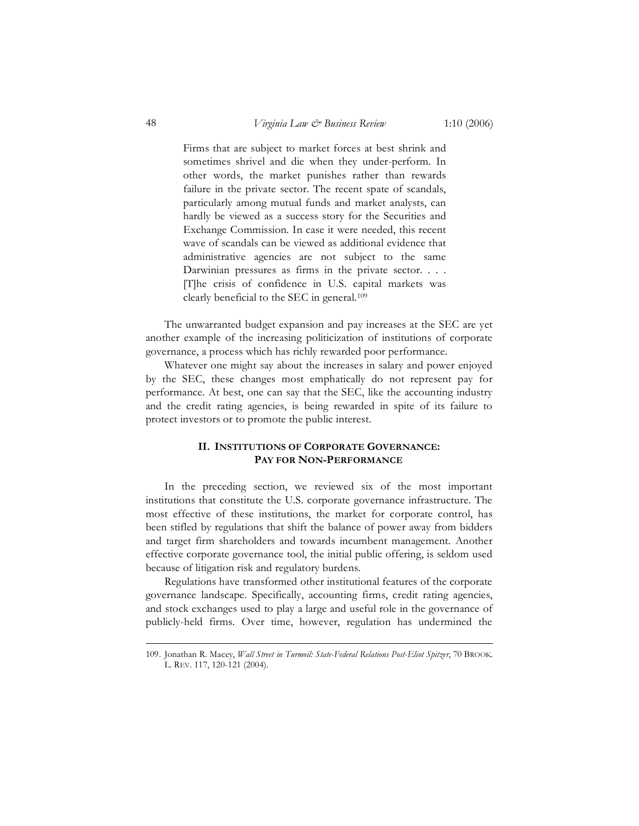Firms that are subject to market forces at best shrink and sometimes shrivel and die when they under-perform. In other words, the market punishes rather than rewards failure in the private sector. The recent spate of scandals, particularly among mutual funds and market analysts, can hardly be viewed as a success story for the Securities and Exchange Commission. In case it were needed, this recent wave of scandals can be viewed as additional evidence that administrative agencies are not subject to the same Darwinian pressures as firms in the private sector. . . . [T]he crisis of confidence in U.S. capital markets was clearly beneficial to the SEC in general.109

The unwarranted budget expansion and pay increases at the SEC are yet another example of the increasing politicization of institutions of corporate governance, a process which has richly rewarded poor performance.

Whatever one might say about the increases in salary and power enjoyed by the SEC, these changes most emphatically do not represent pay for performance. At best, one can say that the SEC, like the accounting industry and the credit rating agencies, is being rewarded in spite of its failure to protect investors or to promote the public interest.

## **II. INSTITUTIONS OF CORPORATE GOVERNANCE: PAY FOR NON-PERFORMANCE**

In the preceding section, we reviewed six of the most important institutions that constitute the U.S. corporate governance infrastructure. The most effective of these institutions, the market for corporate control, has been stifled by regulations that shift the balance of power away from bidders and target firm shareholders and towards incumbent management. Another effective corporate governance tool, the initial public offering, is seldom used because of litigation risk and regulatory burdens.

Regulations have transformed other institutional features of the corporate governance landscape. Specifically, accounting firms, credit rating agencies, and stock exchanges used to play a large and useful role in the governance of publicly-held firms. Over time, however, regulation has undermined the

<sup>109.</sup> Jonathan R. Macey, *Wall Street in Turmoil: State-Federal Relations Post-Eliot Spitzer*, 70 BROOK. L. REV. 117, 120-121 (2004).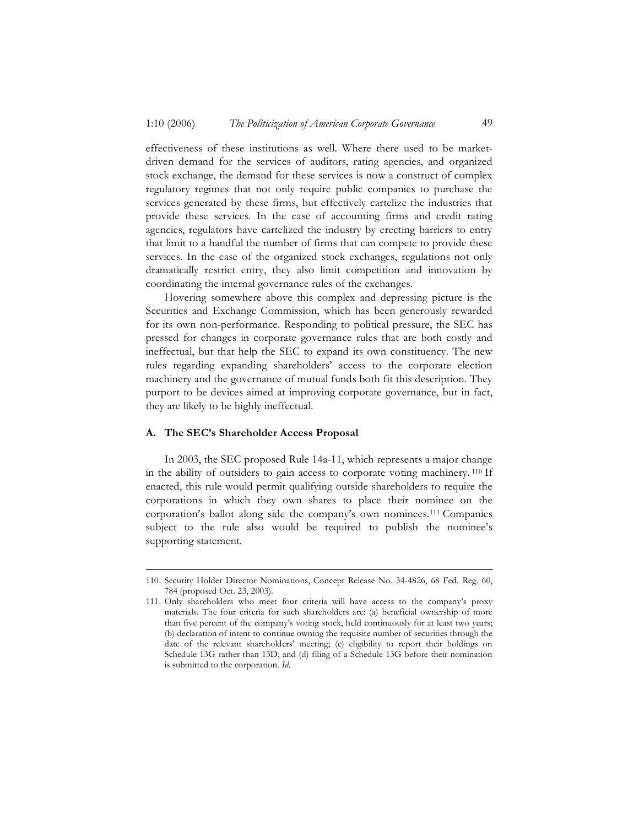effectiveness of these institutions as well. Where there used to be marketdriven demand for the services of auditors, rating agencies, and organized stock exchange, the demand for these services is now a construct of complex regulatory regimes that not only require public companies to purchase the services generated by these firms, but effectively cartelize the industries that provide these services. In the case of accounting firms and credit rating agencies, regulators have cartelized the industry by erecting barriers to entry that limit to a handful the number of firms that can compete to provide these services. In the case of the organized stock exchanges, regulations not only dramatically restrict entry, they also limit competition and innovation by coordinating the internal governance rules of the exchanges.

Hovering somewhere above this complex and depressing picture is the Securities and Exchange Commission, which has been generously rewarded for its own non-performance. Responding to political pressure, the SEC has pressed for changes in corporate governance rules that are both costly and ineffectual, but that help the SEC to expand its own constituency. The new rules regarding expanding shareholders' access to the corporate election machinery and the governance of mutual funds both fit this description. They purport to be devices aimed at improving corporate governance, but in fact, they are likely to be highly ineffectual.

#### **A. The SEC's Shareholder Access Proposal**

 $\overline{a}$ 

In 2003, the SEC proposed Rule 14a-11, which represents a major change in the ability of outsiders to gain access to corporate voting machinery. <sup>110</sup> If enacted, this rule would permit qualifying outside shareholders to require the corporations in which they own shares to place their nominee on the corporation's ballot along side the company's own nominees.111 Companies subject to the rule also would be required to publish the nominee's supporting statement.

<sup>110.</sup> Security Holder Director Nominations, Concept Release No. 34-4826, 68 Fed. Reg. 60, 784 (proposed Oct. 23, 2003).

<sup>111.</sup> Only shareholders who meet four criteria will have access to the company's proxy materials. The four criteria for such shareholders are: (a) beneficial ownership of more than five percent of the company's voting stock, held continuously for at least two years; (b) declaration of intent to continue owning the requisite number of securities through the date of the relevant shareholders' meeting; (c) eligibility to report their holdings on Schedule 13G rather than 13D; and (d) filing of a Schedule 13G before their nomination is submitted to the corporation*. Id.*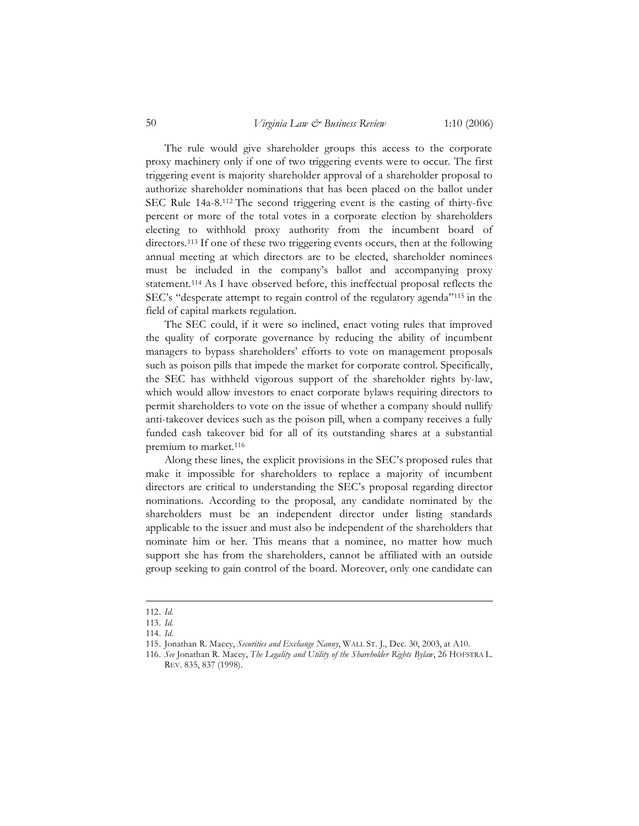The rule would give shareholder groups this access to the corporate proxy machinery only if one of two triggering events were to occur. The first triggering event is majority shareholder approval of a shareholder proposal to authorize shareholder nominations that has been placed on the ballot under SEC Rule 14a-8.112 The second triggering event is the casting of thirty-five percent or more of the total votes in a corporate election by shareholders electing to withhold proxy authority from the incumbent board of directors.113 If one of these two triggering events occurs, then at the following annual meeting at which directors are to be elected, shareholder nominees must be included in the company's ballot and accompanying proxy statement.114 As I have observed before, this ineffectual proposal reflects the SEC's "desperate attempt to regain control of the regulatory agenda"115 in the field of capital markets regulation.

The SEC could, if it were so inclined, enact voting rules that improved the quality of corporate governance by reducing the ability of incumbent managers to bypass shareholders' efforts to vote on management proposals such as poison pills that impede the market for corporate control. Specifically, the SEC has withheld vigorous support of the shareholder rights by-law, which would allow investors to enact corporate bylaws requiring directors to permit shareholders to vote on the issue of whether a company should nullify anti-takeover devices such as the poison pill, when a company receives a fully funded cash takeover bid for all of its outstanding shares at a substantial premium to market.116

Along these lines, the explicit provisions in the SEC's proposed rules that make it impossible for shareholders to replace a majority of incumbent directors are critical to understanding the SEC's proposal regarding director nominations. According to the proposal, any candidate nominated by the shareholders must be an independent director under listing standards applicable to the issuer and must also be independent of the shareholders that nominate him or her. This means that a nominee, no matter how much support she has from the shareholders, cannot be affiliated with an outside group seeking to gain control of the board. Moreover, only one candidate can

<sup>112.</sup> *Id*.

<sup>113.</sup> *Id.*

<sup>114.</sup> *Id*.

<sup>115.</sup> Jonathan R. Macey, *Securities and Exchange Nanny*, WALL ST. J., Dec. 30, 2003, at A10.

<sup>116.</sup> *See* Jonathan R. Macey, *The Legality and Utility of the Shareholder Rights Bylaw*, 26 HOFSTRA L. REV. 835, 837 (1998).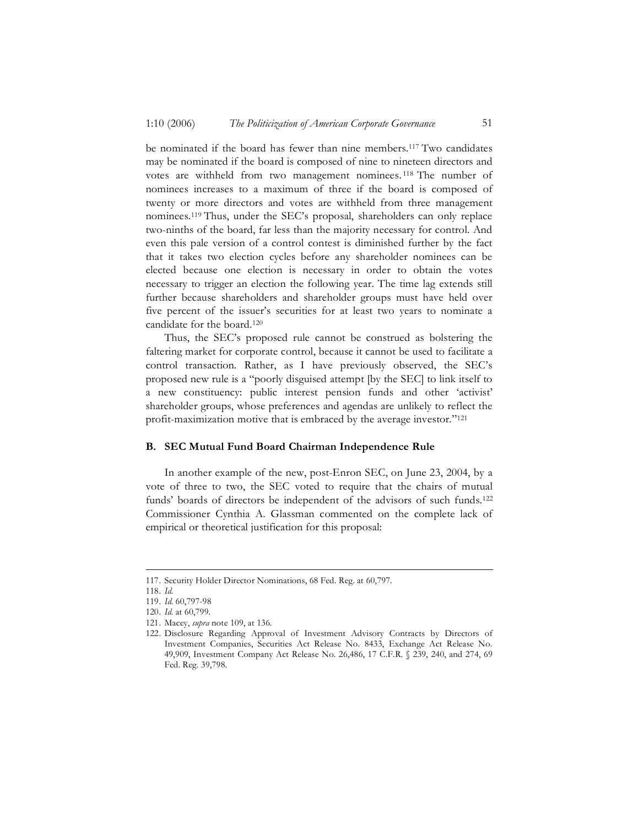be nominated if the board has fewer than nine members.117 Two candidates may be nominated if the board is composed of nine to nineteen directors and votes are withheld from two management nominees. <sup>118</sup> The number of nominees increases to a maximum of three if the board is composed of twenty or more directors and votes are withheld from three management nominees.119 Thus, under the SEC's proposal, shareholders can only replace two-ninths of the board, far less than the majority necessary for control. And even this pale version of a control contest is diminished further by the fact that it takes two election cycles before any shareholder nominees can be elected because one election is necessary in order to obtain the votes necessary to trigger an election the following year. The time lag extends still further because shareholders and shareholder groups must have held over five percent of the issuer's securities for at least two years to nominate a candidate for the board.120

Thus, the SEC's proposed rule cannot be construed as bolstering the faltering market for corporate control, because it cannot be used to facilitate a control transaction. Rather, as I have previously observed, the SEC's proposed new rule is a "poorly disguised attempt [by the SEC] to link itself to a new constituency: public interest pension funds and other 'activist' shareholder groups, whose preferences and agendas are unlikely to reflect the profit-maximization motive that is embraced by the average investor."121

#### **B. SEC Mutual Fund Board Chairman Independence Rule**

In another example of the new, post-Enron SEC, on June 23, 2004, by a vote of three to two, the SEC voted to require that the chairs of mutual funds' boards of directors be independent of the advisors of such funds.<sup>122</sup> Commissioner Cynthia A. Glassman commented on the complete lack of empirical or theoretical justification for this proposal:

<sup>117.</sup> Security Holder Director Nominations, 68 Fed. Reg. at 60,797.

<sup>118.</sup> *Id.*

<sup>119.</sup> *Id.* 60,797-98

<sup>120.</sup> *Id.* at 60,799.

<sup>121.</sup> Macey, *supra* note 109, at 136.

<sup>122.</sup> Disclosure Regarding Approval of Investment Advisory Contracts by Directors of Investment Companies, Securities Act Release No. 8433, Exchange Act Release No. 49,909, Investment Company Act Release No. 26,486, 17 C.F.R. § 239, 240, and 274, 69 Fed. Reg. 39,798.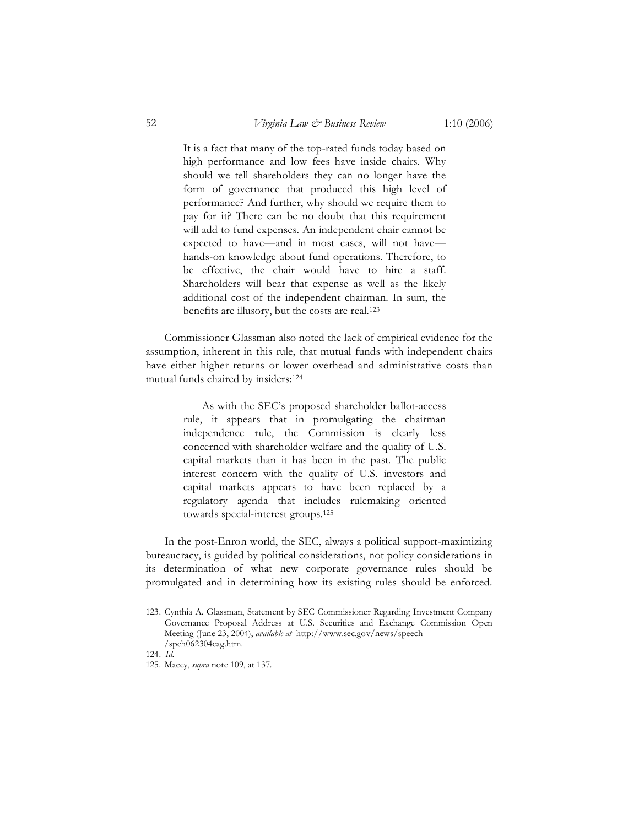It is a fact that many of the top-rated funds today based on high performance and low fees have inside chairs. Why should we tell shareholders they can no longer have the form of governance that produced this high level of performance? And further, why should we require them to pay for it? There can be no doubt that this requirement will add to fund expenses. An independent chair cannot be expected to have—and in most cases, will not have hands-on knowledge about fund operations. Therefore, to be effective, the chair would have to hire a staff. Shareholders will bear that expense as well as the likely additional cost of the independent chairman. In sum, the benefits are illusory, but the costs are real.123

Commissioner Glassman also noted the lack of empirical evidence for the assumption, inherent in this rule, that mutual funds with independent chairs have either higher returns or lower overhead and administrative costs than mutual funds chaired by insiders:124

> As with the SEC's proposed shareholder ballot-access rule, it appears that in promulgating the chairman independence rule, the Commission is clearly less concerned with shareholder welfare and the quality of U.S. capital markets than it has been in the past. The public interest concern with the quality of U.S. investors and capital markets appears to have been replaced by a regulatory agenda that includes rulemaking oriented towards special-interest groups.125

In the post-Enron world, the SEC, always a political support-maximizing bureaucracy, is guided by political considerations, not policy considerations in its determination of what new corporate governance rules should be promulgated and in determining how its existing rules should be enforced.

<sup>123.</sup> Cynthia A. Glassman, Statement by SEC Commissioner Regarding Investment Company Governance Proposal Address at U.S. Securities and Exchange Commission Open Meeting (June 23, 2004), *available at* http://www.sec.gov/news/speech /spch062304cag.htm.

<sup>124.</sup> *Id*.

<sup>125.</sup> Macey, *supra* note 109, at 137.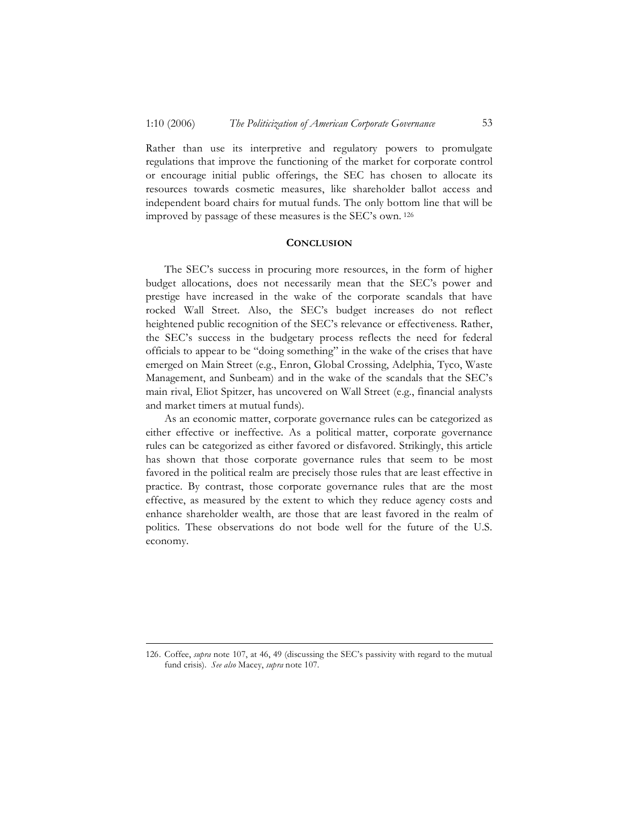Rather than use its interpretive and regulatory powers to promulgate regulations that improve the functioning of the market for corporate control or encourage initial public offerings, the SEC has chosen to allocate its resources towards cosmetic measures, like shareholder ballot access and independent board chairs for mutual funds. The only bottom line that will be improved by passage of these measures is the SEC's own. <sup>126</sup>

#### **CONCLUSION**

The SEC's success in procuring more resources, in the form of higher budget allocations, does not necessarily mean that the SEC's power and prestige have increased in the wake of the corporate scandals that have rocked Wall Street. Also, the SEC's budget increases do not reflect heightened public recognition of the SEC's relevance or effectiveness. Rather, the SEC's success in the budgetary process reflects the need for federal officials to appear to be "doing something" in the wake of the crises that have emerged on Main Street (e.g., Enron, Global Crossing, Adelphia, Tyco, Waste Management, and Sunbeam) and in the wake of the scandals that the SEC's main rival, Eliot Spitzer, has uncovered on Wall Street (e.g., financial analysts and market timers at mutual funds).

As an economic matter, corporate governance rules can be categorized as either effective or ineffective. As a political matter, corporate governance rules can be categorized as either favored or disfavored. Strikingly, this article has shown that those corporate governance rules that seem to be most favored in the political realm are precisely those rules that are least effective in practice. By contrast, those corporate governance rules that are the most effective, as measured by the extent to which they reduce agency costs and enhance shareholder wealth, are those that are least favored in the realm of politics. These observations do not bode well for the future of the U.S. economy.

<sup>126.</sup> Coffee, *supra* note 107, at 46, 49 (discussing the SEC's passivity with regard to the mutual fund crisis). *See also* Macey, *supra* note 107.